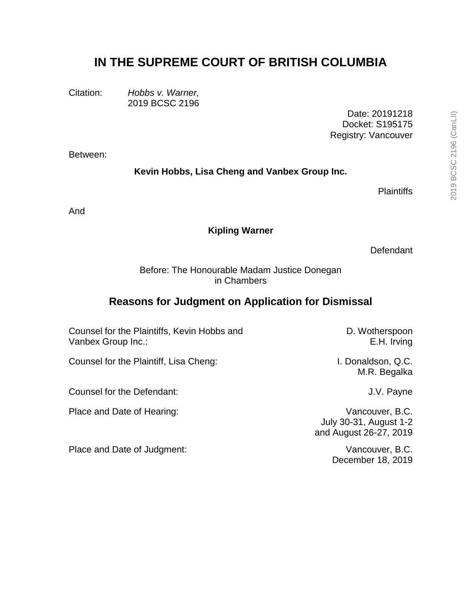# **IN THE SUPREME COURT OF BRITISH COLUMBIA**

Citation: *Hobbs v. Warner,* 2019 BCSC 2196

> Date: 20191218 Docket: S195175 Registry: Vancouver

Between:

**Kevin Hobbs, Lisa Cheng and Vanbex Group Inc.**

**Plaintiffs** 

And

#### **Kipling Warner**

Defendant

Before: The Honourable Madam Justice Donegan in Chambers

# **Reasons for Judgment on Application for Dismissal**

Counsel for the Plaintiffs, Kevin Hobbs and Vanbex Group Inc.:

Counsel for the Plaintiff, Lisa Cheng: I. Donaldson, Q.C.

Counsel for the Defendant: Counsel for the Defendant:

Place and Date of Hearing: Vancouver, B.C.

Place and Date of Judgment: Vancouver, B.C.

D. Wotherspoon E.H. Irving

M.R. Begalka

July 30-31, August 1-2 and August 26-27, 2019

December 18, 2019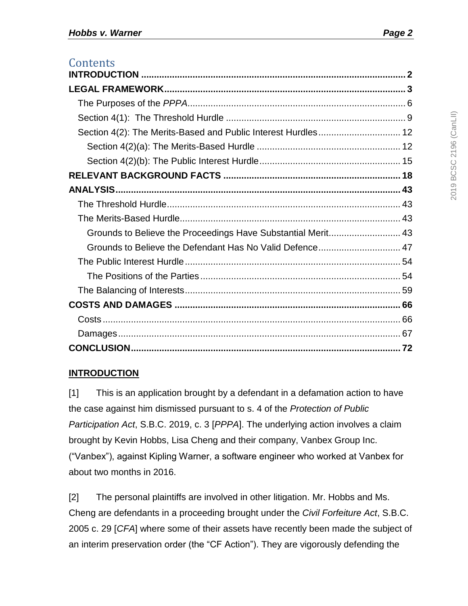| Contents                                                      |  |
|---------------------------------------------------------------|--|
|                                                               |  |
|                                                               |  |
|                                                               |  |
|                                                               |  |
| Section 4(2): The Merits-Based and Public Interest Hurdles 12 |  |
|                                                               |  |
|                                                               |  |
|                                                               |  |
|                                                               |  |
|                                                               |  |
|                                                               |  |
| Grounds to Believe the Proceedings Have Substantial Merit 43  |  |
|                                                               |  |
|                                                               |  |
|                                                               |  |
|                                                               |  |
|                                                               |  |
|                                                               |  |
|                                                               |  |
|                                                               |  |

# <span id="page-1-0"></span>**INTRODUCTION**

[1] This is an application brought by a defendant in a defamation action to have the case against him dismissed pursuant to s. 4 of the *Protection of Public Participation Act*, S.B.C. 2019, c. 3 [*PPPA*]. The underlying action involves a claim brought by Kevin Hobbs, Lisa Cheng and their company, Vanbex Group Inc. ("Vanbex"), against Kipling Warner, a software engineer who worked at Vanbex for about two months in 2016.

[2] The personal plaintiffs are involved in other litigation. Mr. Hobbs and Ms. Cheng are defendants in a proceeding brought under the *Civil Forfeiture Act*, S.B.C. 2005 c. 29 [*CFA*] where some of their assets have recently been made the subject of an interim preservation order (the "CF Action"). They are vigorously defending the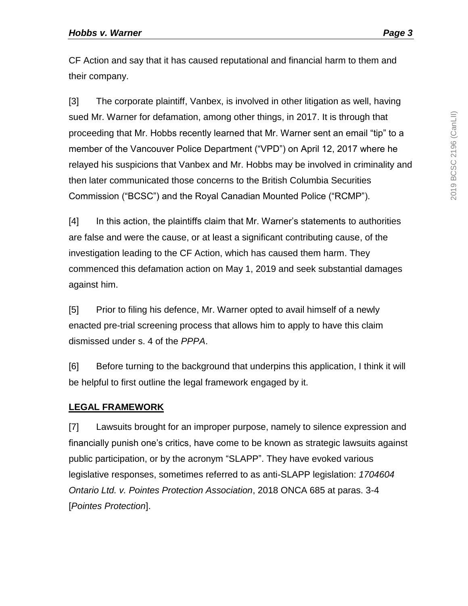CF Action and say that it has caused reputational and financial harm to them and their company.

[3] The corporate plaintiff, Vanbex, is involved in other litigation as well, having sued Mr. Warner for defamation, among other things, in 2017. It is through that proceeding that Mr. Hobbs recently learned that Mr. Warner sent an email "tip" to a member of the Vancouver Police Department ("VPD") on April 12, 2017 where he relayed his suspicions that Vanbex and Mr. Hobbs may be involved in criminality and then later communicated those concerns to the British Columbia Securities Commission ("BCSC") and the Royal Canadian Mounted Police ("RCMP").

[4] In this action, the plaintiffs claim that Mr. Warner's statements to authorities are false and were the cause, or at least a significant contributing cause, of the investigation leading to the CF Action, which has caused them harm. They commenced this defamation action on May 1, 2019 and seek substantial damages against him.

[5] Prior to filing his defence, Mr. Warner opted to avail himself of a newly enacted pre-trial screening process that allows him to apply to have this claim dismissed under s. 4 of the *PPPA*.

[6] Before turning to the background that underpins this application, I think it will be helpful to first outline the legal framework engaged by it.

# <span id="page-2-0"></span>**LEGAL FRAMEWORK**

[7] Lawsuits brought for an improper purpose, namely to silence expression and financially punish one's critics, have come to be known as strategic lawsuits against public participation, or by the acronym "SLAPP". They have evoked various legislative responses, sometimes referred to as anti-SLAPP legislation: *1704604 Ontario Ltd. v. Pointes Protection Association*, 2018 ONCA 685 at paras. 3-4 [*Pointes Protection*].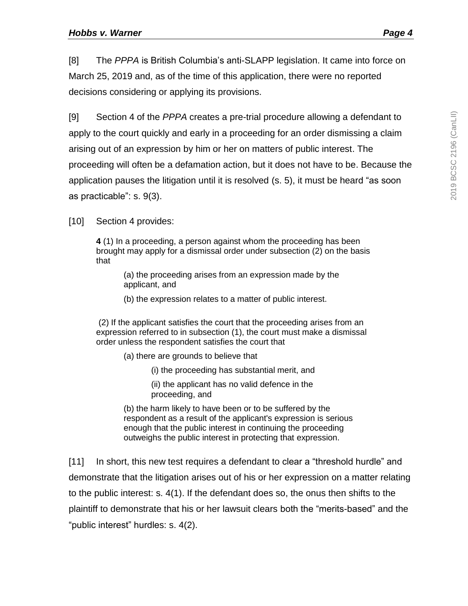[8] The *PPPA* is British Columbia's anti-SLAPP legislation. It came into force on March 25, 2019 and, as of the time of this application, there were no reported decisions considering or applying its provisions.

[9] Section 4 of the *PPPA* creates a pre-trial procedure allowing a defendant to apply to the court quickly and early in a proceeding for an order dismissing a claim arising out of an expression by him or her on matters of public interest. The proceeding will often be a defamation action, but it does not have to be. Because the application pauses the litigation until it is resolved (s. 5), it must be heard "as soon as practicable": s. 9(3).

[10] Section 4 provides:

**4** (1) In a proceeding, a person against whom the proceeding has been brought may apply for a dismissal order under subsection (2) on the basis that

> (a) the proceeding arises from an expression made by the applicant, and

(b) the expression relates to a matter of public interest.

(2) If the applicant satisfies the court that the proceeding arises from an expression referred to in subsection (1), the court must make a dismissal order unless the respondent satisfies the court that

(a) there are grounds to believe that

- (i) the proceeding has substantial merit, and
- (ii) the applicant has no valid defence in the proceeding, and
- (b) the harm likely to have been or to be suffered by the respondent as a result of the applicant's expression is serious enough that the public interest in continuing the proceeding outweighs the public interest in protecting that expression.

[11] In short, this new test requires a defendant to clear a "threshold hurdle" and demonstrate that the litigation arises out of his or her expression on a matter relating to the public interest: s. 4(1). If the defendant does so, the onus then shifts to the plaintiff to demonstrate that his or her lawsuit clears both the "merits-based" and the "public interest" hurdles: s. 4(2).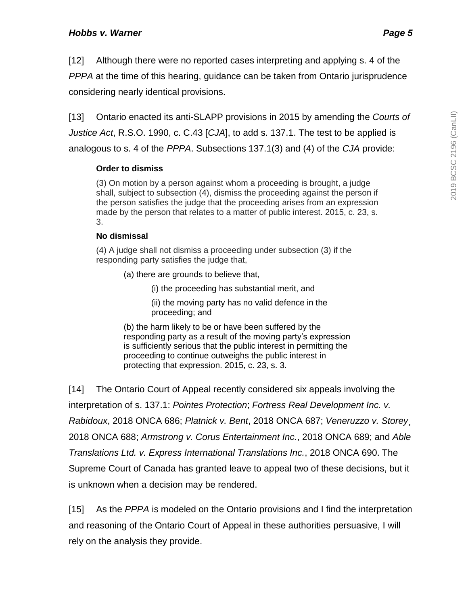[12] Although there were no reported cases interpreting and applying s. 4 of the *PPPA* at the time of this hearing, guidance can be taken from Ontario jurisprudence considering nearly identical provisions.

[13] Ontario enacted its anti-SLAPP provisions in 2015 by amending the *Courts of Justice Act*, R.S.O. 1990, c. C.43 [*CJA*], to add s. 137.1. The test to be applied is analogous to s. 4 of the *PPPA*. Subsections 137.1(3) and (4) of the *CJA* provide:

#### **Order to dismiss**

(3) On motion by a person against whom a proceeding is brought, a judge shall, subject to subsection (4), dismiss the proceeding against the person if the person satisfies the judge that the proceeding arises from an expression made by the person that relates to a matter of public interest. 2015, c. 23, s. 3.

#### **No dismissal**

(4) A judge shall not dismiss a proceeding under subsection (3) if the responding party satisfies the judge that,

- (a) there are grounds to believe that,
	- (i) the proceeding has substantial merit, and
	- (ii) the moving party has no valid defence in the proceeding; and

(b) the harm likely to be or have been suffered by the responding party as a result of the moving party's expression is sufficiently serious that the public interest in permitting the proceeding to continue outweighs the public interest in protecting that expression. 2015, c. 23, s. 3.

[14] The Ontario Court of Appeal recently considered six appeals involving the interpretation of s. 137.1: *Pointes Protection*; *Fortress Real Development Inc. v. Rabidoux*, 2018 ONCA 686; *Platnick v. Bent*, 2018 ONCA 687; *Veneruzzo v. Storey*¸ 2018 ONCA 688; *Armstrong v. Corus Entertainment Inc.*, 2018 ONCA 689; and *Able Translations Ltd. v. Express International Translations Inc.*, 2018 ONCA 690. The Supreme Court of Canada has granted leave to appeal two of these decisions, but it is unknown when a decision may be rendered.

[15] As the *PPPA* is modeled on the Ontario provisions and I find the interpretation and reasoning of the Ontario Court of Appeal in these authorities persuasive, I will rely on the analysis they provide.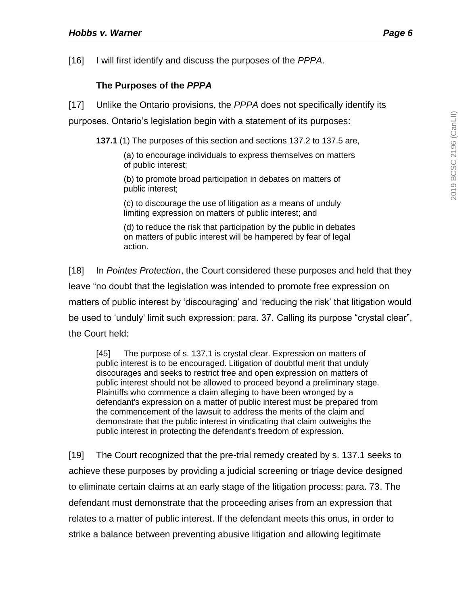[16] I will first identify and discuss the purposes of the *PPPA*.

## **The Purposes of the** *PPPA*

<span id="page-5-0"></span>[17] Unlike the Ontario provisions, the *PPPA* does not specifically identify its

purposes. Ontario's legislation begin with a statement of its purposes:

**137.1** (1) The purposes of this section and sections 137.2 to 137.5 are,

(a) to encourage individuals to express themselves on matters of public interest;

(b) to promote broad participation in debates on matters of public interest;

(c) to discourage the use of litigation as a means of unduly limiting expression on matters of public interest; and

(d) to reduce the risk that participation by the public in debates on matters of public interest will be hampered by fear of legal action.

[18] In *Pointes Protection*, the Court considered these purposes and held that they leave "no doubt that the legislation was intended to promote free expression on matters of public interest by 'discouraging' and 'reducing the risk' that litigation would be used to 'unduly' limit such expression: para. 37. Calling its purpose "crystal clear", the Court held:

[45] The purpose of s. 137.1 is crystal clear. Expression on matters of public interest is to be encouraged. Litigation of doubtful merit that unduly discourages and seeks to restrict free and open expression on matters of public interest should not be allowed to proceed beyond a preliminary stage. Plaintiffs who commence a claim alleging to have been wronged by a defendant's expression on a matter of public interest must be prepared from the commencement of the lawsuit to address the merits of the claim and demonstrate that the public interest in vindicating that claim outweighs the public interest in protecting the defendant's freedom of expression.

[19] The Court recognized that the pre-trial remedy created by s. 137.1 seeks to achieve these purposes by providing a judicial screening or triage device designed to eliminate certain claims at an early stage of the litigation process: para. 73. The defendant must demonstrate that the proceeding arises from an expression that relates to a matter of public interest. If the defendant meets this onus, in order to strike a balance between preventing abusive litigation and allowing legitimate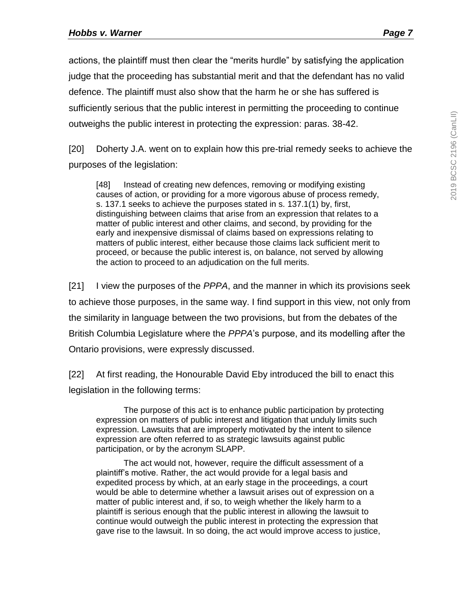actions, the plaintiff must then clear the "merits hurdle" by satisfying the application judge that the proceeding has substantial merit and that the defendant has no valid defence. The plaintiff must also show that the harm he or she has suffered is sufficiently serious that the public interest in permitting the proceeding to continue outweighs the public interest in protecting the expression: paras. 38-42.

[20] Doherty J.A. went on to explain how this pre-trial remedy seeks to achieve the purposes of the legislation:

[48] Instead of creating new defences, removing or modifying existing causes of action, or providing for a more vigorous abuse of process remedy, s. 137.1 seeks to achieve the purposes stated in s. 137.1(1) by, first, distinguishing between claims that arise from an expression that relates to a matter of public interest and other claims, and second, by providing for the early and inexpensive dismissal of claims based on expressions relating to matters of public interest, either because those claims lack sufficient merit to proceed, or because the public interest is, on balance, not served by allowing the action to proceed to an adjudication on the full merits.

[21] I view the purposes of the *PPPA*, and the manner in which its provisions seek to achieve those purposes, in the same way. I find support in this view, not only from the similarity in language between the two provisions, but from the debates of the British Columbia Legislature where the *PPPA*'s purpose, and its modelling after the Ontario provisions, were expressly discussed.

[22] At first reading, the Honourable David Eby introduced the bill to enact this legislation in the following terms:

The purpose of this act is to enhance public participation by protecting expression on matters of public interest and litigation that unduly limits such expression. Lawsuits that are improperly motivated by the intent to silence expression are often referred to as strategic lawsuits against public participation, or by the acronym SLAPP.

The act would not, however, require the difficult assessment of a plaintiff's motive. Rather, the act would provide for a legal basis and expedited process by which, at an early stage in the proceedings, a court would be able to determine whether a lawsuit arises out of expression on a matter of public interest and, if so, to weigh whether the likely harm to a plaintiff is serious enough that the public interest in allowing the lawsuit to continue would outweigh the public interest in protecting the expression that gave rise to the lawsuit. In so doing, the act would improve access to justice,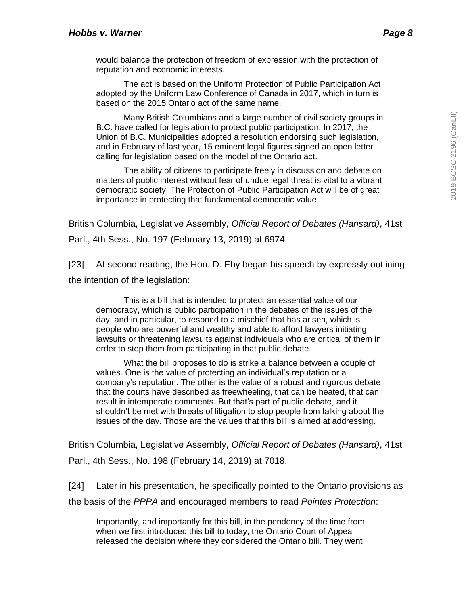would balance the protection of freedom of expression with the protection of reputation and economic interests.

The act is based on the Uniform Protection of Public Participation Act adopted by the Uniform Law Conference of Canada in 2017, which in turn is based on the 2015 Ontario act of the same name.

Many British Columbians and a large number of civil society groups in B.C. have called for legislation to protect public participation. In 2017, the Union of B.C. Municipalities adopted a resolution endorsing such legislation, and in February of last year, 15 eminent legal figures signed an open letter calling for legislation based on the model of the Ontario act.

The ability of citizens to participate freely in discussion and debate on matters of public interest without fear of undue legal threat is vital to a vibrant democratic society. The Protection of Public Participation Act will be of great importance in protecting that fundamental democratic value.

British Columbia, Legislative Assembly, *Official Report of Debates (Hansard)*, 41st Parl., 4th Sess., No. 197 (February 13, 2019) at 6974.

[23] At second reading, the Hon. D. Eby began his speech by expressly outlining the intention of the legislation:

This is a bill that is intended to protect an essential value of our democracy, which is public participation in the debates of the issues of the day, and in particular, to respond to a mischief that has arisen, which is people who are powerful and wealthy and able to afford lawyers initiating lawsuits or threatening lawsuits against individuals who are critical of them in order to stop them from participating in that public debate.

What the bill proposes to do is strike a balance between a couple of values. One is the value of protecting an individual's reputation or a company's reputation. The other is the value of a robust and rigorous debate that the courts have described as freewheeling, that can be heated, that can result in intemperate comments. But that's part of public debate, and it shouldn't be met with threats of litigation to stop people from talking about the issues of the day. Those are the values that this bill is aimed at addressing.

British Columbia, Legislative Assembly, *Official Report of Debates (Hansard)*, 41st Parl., 4th Sess., No. 198 (February 14, 2019) at 7018.

[24] Later in his presentation, he specifically pointed to the Ontario provisions as the basis of the *PPPA* and encouraged members to read *Pointes Protection*:

Importantly, and importantly for this bill, in the pendency of the time from when we first introduced this bill to today, the Ontario Court of Appeal released the decision where they considered the Ontario bill. They went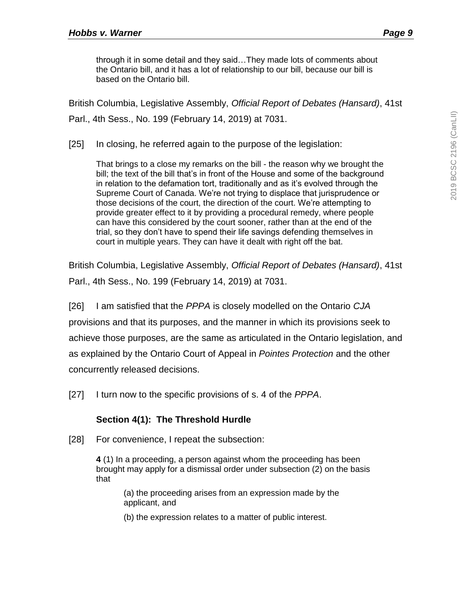through it in some detail and they said…They made lots of comments about the Ontario bill, and it has a lot of relationship to our bill, because our bill is based on the Ontario bill.

British Columbia, Legislative Assembly, *Official Report of Debates (Hansard)*, 41st Parl., 4th Sess., No. 199 (February 14, 2019) at 7031.

[25] In closing, he referred again to the purpose of the legislation:

That brings to a close my remarks on the bill - the reason why we brought the bill; the text of the bill that's in front of the House and some of the background in relation to the defamation tort, traditionally and as it's evolved through the Supreme Court of Canada. We're not trying to displace that jurisprudence or those decisions of the court, the direction of the court. We're attempting to provide greater effect to it by providing a procedural remedy, where people can have this considered by the court sooner, rather than at the end of the trial, so they don't have to spend their life savings defending themselves in court in multiple years. They can have it dealt with right off the bat.

British Columbia, Legislative Assembly, *Official Report of Debates (Hansard)*, 41st Parl., 4th Sess., No. 199 (February 14, 2019) at 7031.

[26] I am satisfied that the *PPPA* is closely modelled on the Ontario *CJA* provisions and that its purposes, and the manner in which its provisions seek to achieve those purposes, are the same as articulated in the Ontario legislation, and as explained by the Ontario Court of Appeal in *Pointes Protection* and the other concurrently released decisions.

[27] I turn now to the specific provisions of s. 4 of the *PPPA*.

### **Section 4(1): The Threshold Hurdle**

<span id="page-8-0"></span>[28] For convenience, I repeat the subsection:

**4** (1) In a proceeding, a person against whom the proceeding has been brought may apply for a dismissal order under subsection (2) on the basis that

> (a) the proceeding arises from an expression made by the applicant, and

(b) the expression relates to a matter of public interest.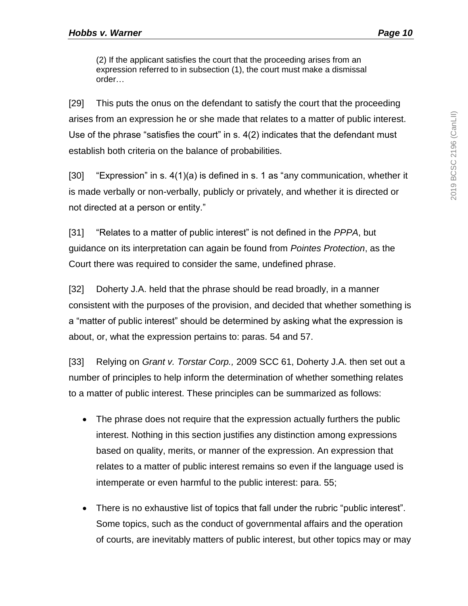(2) If the applicant satisfies the court that the proceeding arises from an expression referred to in subsection (1), the court must make a dismissal order…

[29] This puts the onus on the defendant to satisfy the court that the proceeding arises from an expression he or she made that relates to a matter of public interest. Use of the phrase "satisfies the court" in s. 4(2) indicates that the defendant must establish both criteria on the balance of probabilities.

[30] "Expression" in s. 4(1)(a) is defined in s. 1 as "any communication, whether it is made verbally or non-verbally, publicly or privately, and whether it is directed or not directed at a person or entity."

[31] "Relates to a matter of public interest" is not defined in the *PPPA*, but guidance on its interpretation can again be found from *Pointes Protection*, as the Court there was required to consider the same, undefined phrase.

[32] Doherty J.A. held that the phrase should be read broadly, in a manner consistent with the purposes of the provision, and decided that whether something is a "matter of public interest" should be determined by asking what the expression is about, or, what the expression pertains to: paras. 54 and 57.

[33] Relying on *Grant v. Torstar Corp.,* 2009 SCC 61, Doherty J.A. then set out a number of principles to help inform the determination of whether something relates to a matter of public interest. These principles can be summarized as follows:

- The phrase does not require that the expression actually furthers the public interest. Nothing in this section justifies any distinction among expressions based on quality, merits, or manner of the expression. An expression that relates to a matter of public interest remains so even if the language used is intemperate or even harmful to the public interest: para. 55;
- There is no exhaustive list of topics that fall under the rubric "public interest". Some topics, such as the conduct of governmental affairs and the operation of courts, are inevitably matters of public interest, but other topics may or may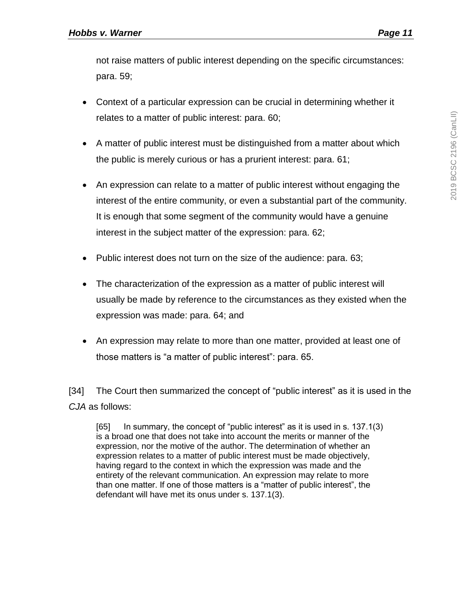not raise matters of public interest depending on the specific circumstances: para. 59;

- Context of a particular expression can be crucial in determining whether it relates to a matter of public interest: para. 60;
- A matter of public interest must be distinguished from a matter about which the public is merely curious or has a prurient interest: para. 61;
- An expression can relate to a matter of public interest without engaging the interest of the entire community, or even a substantial part of the community. It is enough that some segment of the community would have a genuine interest in the subject matter of the expression: para. 62;
- Public interest does not turn on the size of the audience: para. 63;
- The characterization of the expression as a matter of public interest will usually be made by reference to the circumstances as they existed when the expression was made: para. 64; and
- An expression may relate to more than one matter, provided at least one of those matters is "a matter of public interest": para. 65.

[34] The Court then summarized the concept of "public interest" as it is used in the *CJA* as follows:

[65] In summary, the concept of "public interest" as it is used in s. 137.1(3) is a broad one that does not take into account the merits or manner of the expression, nor the motive of the author. The determination of whether an expression relates to a matter of public interest must be made objectively, having regard to the context in which the expression was made and the entirety of the relevant communication. An expression may relate to more than one matter. If one of those matters is a "matter of public interest", the defendant will have met its onus under s. 137.1(3).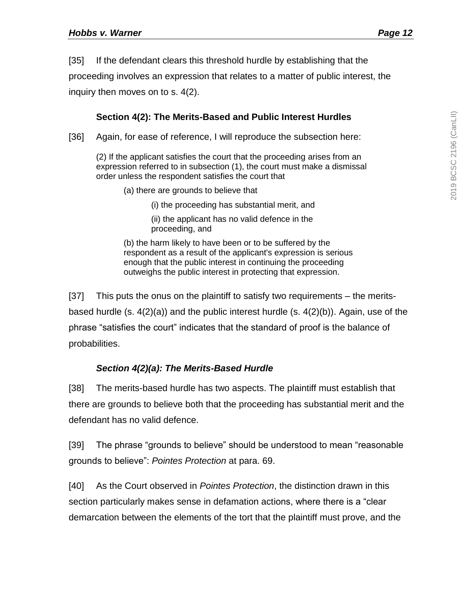[35] If the defendant clears this threshold hurdle by establishing that the

proceeding involves an expression that relates to a matter of public interest, the

inquiry then moves on to s. 4(2).

## **Section 4(2): The Merits-Based and Public Interest Hurdles**

<span id="page-11-0"></span>[36] Again, for ease of reference, I will reproduce the subsection here:

(2) If the applicant satisfies the court that the proceeding arises from an expression referred to in subsection (1), the court must make a dismissal order unless the respondent satisfies the court that

- (a) there are grounds to believe that
	- (i) the proceeding has substantial merit, and

(ii) the applicant has no valid defence in the proceeding, and

(b) the harm likely to have been or to be suffered by the respondent as a result of the applicant's expression is serious enough that the public interest in continuing the proceeding outweighs the public interest in protecting that expression.

[37] This puts the onus on the plaintiff to satisfy two requirements – the meritsbased hurdle (s.  $4(2)(a)$ ) and the public interest hurdle (s.  $4(2)(b)$ ). Again, use of the phrase "satisfies the court" indicates that the standard of proof is the balance of probabilities.

# *Section 4(2)(a): The Merits-Based Hurdle*

<span id="page-11-1"></span>[38] The merits-based hurdle has two aspects. The plaintiff must establish that there are grounds to believe both that the proceeding has substantial merit and the defendant has no valid defence.

[39] The phrase "grounds to believe" should be understood to mean "reasonable grounds to believe": *Pointes Protection* at para. 69.

[40] As the Court observed in *Pointes Protection*, the distinction drawn in this section particularly makes sense in defamation actions, where there is a "clear demarcation between the elements of the tort that the plaintiff must prove, and the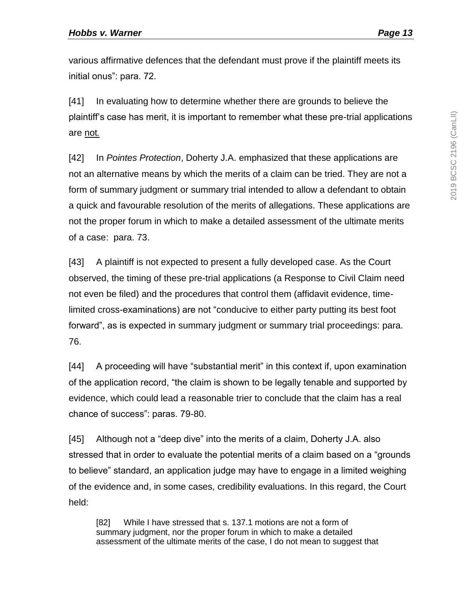initial onus": para. 72.

are not*.*

[41] In evaluating how to determine whether there are grounds to believe the plaintiff's case has merit, it is important to remember what these pre-trial applications

[42] In *Pointes Protection*, Doherty J.A. emphasized that these applications are not an alternative means by which the merits of a claim can be tried. They are not a form of summary judgment or summary trial intended to allow a defendant to obtain a quick and favourable resolution of the merits of allegations. These applications are not the proper forum in which to make a detailed assessment of the ultimate merits of a case: para. 73.

[43] A plaintiff is not expected to present a fully developed case. As the Court observed, the timing of these pre-trial applications (a Response to Civil Claim need not even be filed) and the procedures that control them (affidavit evidence, timelimited cross-examinations) are not "conducive to either party putting its best foot forward", as is expected in summary judgment or summary trial proceedings: para. 76.

[44] A proceeding will have "substantial merit" in this context if, upon examination of the application record, "the claim is shown to be legally tenable and supported by evidence, which could lead a reasonable trier to conclude that the claim has a real chance of success": paras. 79-80.

[45] Although not a "deep dive" into the merits of a claim, Doherty J.A. also stressed that in order to evaluate the potential merits of a claim based on a "grounds to believe" standard, an application judge may have to engage in a limited weighing of the evidence and, in some cases, credibility evaluations. In this regard, the Court held:

[82] While I have stressed that s. 137.1 motions are not a form of summary judgment, nor the proper forum in which to make a detailed assessment of the ultimate merits of the case, I do not mean to suggest that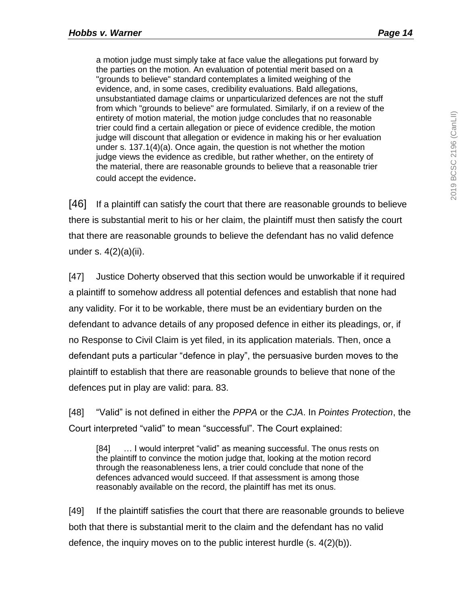a motion judge must simply take at face value the allegations put forward by the parties on the motion. An evaluation of potential merit based on a "grounds to believe" standard contemplates a limited weighing of the evidence, and, in some cases, credibility evaluations. Bald allegations, unsubstantiated damage claims or unparticularized defences are not the stuff from which "grounds to believe" are formulated. Similarly, if on a review of the entirety of motion material, the motion judge concludes that no reasonable trier could find a certain allegation or piece of evidence credible, the motion judge will discount that allegation or evidence in making his or her evaluation under s. 137.1(4)(a). Once again, the question is not whether the motion judge views the evidence as credible, but rather whether, on the entirety of the material, there are reasonable grounds to believe that a reasonable trier could accept the evidence.

[46] If a plaintiff can satisfy the court that there are reasonable grounds to believe there is substantial merit to his or her claim, the plaintiff must then satisfy the court that there are reasonable grounds to believe the defendant has no valid defence under s. 4(2)(a)(ii).

[47] Justice Doherty observed that this section would be unworkable if it required a plaintiff to somehow address all potential defences and establish that none had any validity. For it to be workable, there must be an evidentiary burden on the defendant to advance details of any proposed defence in either its pleadings, or, if no Response to Civil Claim is yet filed, in its application materials. Then, once a defendant puts a particular "defence in play", the persuasive burden moves to the plaintiff to establish that there are reasonable grounds to believe that none of the defences put in play are valid: para. 83.

[48] "Valid" is not defined in either the *PPPA* or the *CJA*. In *Pointes Protection*, the Court interpreted "valid" to mean "successful". The Court explained:

[84] ... I would interpret "valid" as meaning successful. The onus rests on the plaintiff to convince the motion judge that, looking at the motion record through the reasonableness lens, a trier could conclude that none of the defences advanced would succeed. If that assessment is among those reasonably available on the record, the plaintiff has met its onus.

[49] If the plaintiff satisfies the court that there are reasonable grounds to believe both that there is substantial merit to the claim and the defendant has no valid defence, the inquiry moves on to the public interest hurdle (s. 4(2)(b)).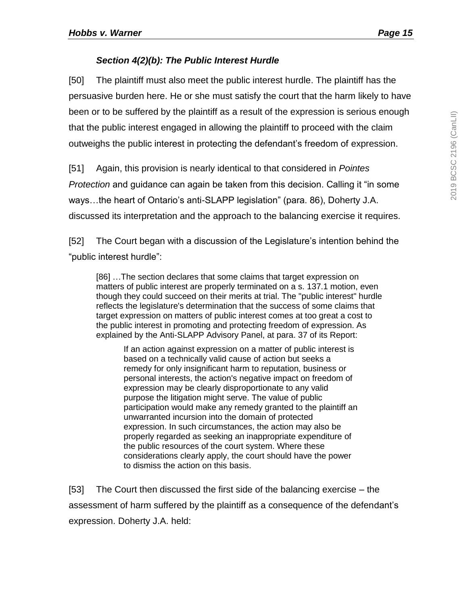# *Section 4(2)(b): The Public Interest Hurdle*

<span id="page-14-0"></span>[50] The plaintiff must also meet the public interest hurdle. The plaintiff has the persuasive burden here. He or she must satisfy the court that the harm likely to have been or to be suffered by the plaintiff as a result of the expression is serious enough that the public interest engaged in allowing the plaintiff to proceed with the claim outweighs the public interest in protecting the defendant's freedom of expression.

[51] Again, this provision is nearly identical to that considered in *Pointes Protection* and guidance can again be taken from this decision. Calling it "in some ways…the heart of Ontario's anti-SLAPP legislation" (para. 86), Doherty J.A. discussed its interpretation and the approach to the balancing exercise it requires.

[52] The Court began with a discussion of the Legislature's intention behind the "public interest hurdle":

[86] …The section declares that some claims that target expression on matters of public interest are properly terminated on a s. 137.1 motion, even though they could succeed on their merits at trial. The "public interest" hurdle reflects the legislature's determination that the success of some claims that target expression on matters of public interest comes at too great a cost to the public interest in promoting and protecting freedom of expression. As explained by the Anti-SLAPP Advisory Panel, at para. 37 of its Report:

If an action against expression on a matter of public interest is based on a technically valid cause of action but seeks a remedy for only insignificant harm to reputation, business or personal interests, the action's negative impact on freedom of expression may be clearly disproportionate to any valid purpose the litigation might serve. The value of public participation would make any remedy granted to the plaintiff an unwarranted incursion into the domain of protected expression. In such circumstances, the action may also be properly regarded as seeking an inappropriate expenditure of the public resources of the court system. Where these considerations clearly apply, the court should have the power to dismiss the action on this basis.

[53] The Court then discussed the first side of the balancing exercise – the assessment of harm suffered by the plaintiff as a consequence of the defendant's expression. Doherty J.A. held: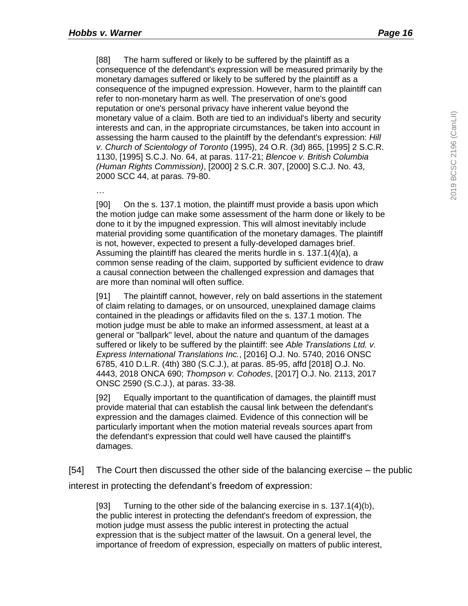[88] The harm suffered or likely to be suffered by the plaintiff as a consequence of the defendant's expression will be measured primarily by the monetary damages suffered or likely to be suffered by the plaintiff as a consequence of the impugned expression. However, harm to the plaintiff can refer to non-monetary harm as well. The preservation of one's good reputation or one's personal privacy have inherent value beyond the monetary value of a claim. Both are tied to an individual's liberty and security interests and can, in the appropriate circumstances, be taken into account in assessing the harm caused to the plaintiff by the defendant's expression: *Hill v. Church of Scientology of Toronto* (1995), 24 O.R. (3d) 865, [1995] 2 S.C.R. 1130, [1995] S.C.J. No. 64, at paras. 117-21; *Blencoe v. British Columbia (Human Rights Commission)*, [2000] 2 S.C.R. 307, [2000] S.C.J. No. 43, 2000 SCC 44, at paras. 79-80.

…

[90] On the s. 137.1 motion, the plaintiff must provide a basis upon which the motion judge can make some assessment of the harm done or likely to be done to it by the impugned expression. This will almost inevitably include material providing some quantification of the monetary damages. The plaintiff is not, however, expected to present a fully-developed damages brief. Assuming the plaintiff has cleared the merits hurdle in s. 137.1(4)(a), a common sense reading of the claim, supported by sufficient evidence to draw a causal connection between the challenged expression and damages that are more than nominal will often suffice.

[91] The plaintiff cannot, however, rely on bald assertions in the statement of claim relating to damages, or on unsourced, unexplained damage claims contained in the pleadings or affidavits filed on the s. 137.1 motion. The motion judge must be able to make an informed assessment, at least at a general or "ballpark" level, about the nature and quantum of the damages suffered or likely to be suffered by the plaintiff: see *Able Translations Ltd. v. Express International Translations Inc.*, [2016] O.J. No. 5740, 2016 ONSC 6785, 410 D.L.R. (4th) 380 (S.C.J.), at paras. 85-95, affd [2018] O.J. No. 4443, 2018 ONCA 690; *Thompson v. Cohodes*, [2017] O.J. No. 2113, 2017 ONSC 2590 (S.C.J.), at paras. 33-38.

[92] Equally important to the quantification of damages, the plaintiff must provide material that can establish the causal link between the defendant's expression and the damages claimed. Evidence of this connection will be particularly important when the motion material reveals sources apart from the defendant's expression that could well have caused the plaintiff's damages.

[54] The Court then discussed the other side of the balancing exercise – the public interest in protecting the defendant's freedom of expression:

[93] Turning to the other side of the balancing exercise in s. 137.1(4)(b), the public interest in protecting the defendant's freedom of expression, the motion judge must assess the public interest in protecting the actual expression that is the subject matter of the lawsuit. On a general level, the importance of freedom of expression, especially on matters of public interest,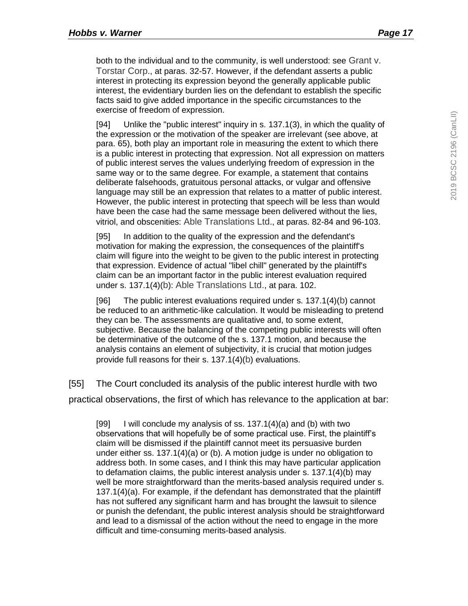both to the individual and to the community, is well understood: see Grant v. Torstar Corp., at paras. 32-57. However, if the defendant asserts a public interest in protecting its expression beyond the generally applicable public interest, the evidentiary burden lies on the defendant to establish the specific facts said to give added importance in the specific circumstances to the exercise of freedom of expression.

[94] Unlike the "public interest" inquiry in s. 137.1(3), in which the quality of the expression or the motivation of the speaker are irrelevant (see above, at para. 65), both play an important role in measuring the extent to which there is a public interest in protecting that expression. Not all expression on matters of public interest serves the values underlying freedom of expression in the same way or to the same degree. For example, a statement that contains deliberate falsehoods, gratuitous personal attacks, or vulgar and offensive language may still be an expression that relates to a matter of public interest. However, the public interest in protecting that speech will be less than would have been the case had the same message been delivered without the lies, vitriol, and obscenities: Able Translations Ltd., at paras. 82-84 and 96-103.

[95] In addition to the quality of the expression and the defendant's motivation for making the expression, the consequences of the plaintiff's claim will figure into the weight to be given to the public interest in protecting that expression. Evidence of actual "libel chill" generated by the plaintiff's claim can be an important factor in the public interest evaluation required under s. 137.1(4)(b): Able Translations Ltd., at para. 102.

[96] The public interest evaluations required under s. 137.1(4)(b) cannot be reduced to an arithmetic-like calculation. It would be misleading to pretend they can be. The assessments are qualitative and, to some extent, subjective. Because the balancing of the competing public interests will often be determinative of the outcome of the s. 137.1 motion, and because the analysis contains an element of subjectivity, it is crucial that motion judges provide full reasons for their s. 137.1(4)(b) evaluations.

[55] The Court concluded its analysis of the public interest hurdle with two practical observations, the first of which has relevance to the application at bar:

[99] I will conclude my analysis of ss.  $137.1(4)(a)$  and (b) with two observations that will hopefully be of some practical use. First, the plaintiff's claim will be dismissed if the plaintiff cannot meet its persuasive burden under either ss. 137.1(4)(a) or (b). A motion judge is under no obligation to address both. In some cases, and I think this may have particular application to defamation claims, the public interest analysis under s. 137.1(4)(b) may well be more straightforward than the merits-based analysis required under s. 137.1(4)(a). For example, if the defendant has demonstrated that the plaintiff has not suffered any significant harm and has brought the lawsuit to silence or punish the defendant, the public interest analysis should be straightforward and lead to a dismissal of the action without the need to engage in the more difficult and time-consuming merits-based analysis.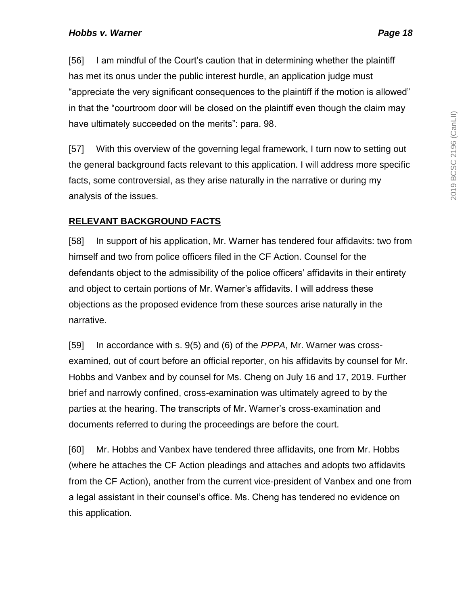[56] I am mindful of the Court's caution that in determining whether the plaintiff has met its onus under the public interest hurdle, an application judge must "appreciate the very significant consequences to the plaintiff if the motion is allowed" in that the "courtroom door will be closed on the plaintiff even though the claim may have ultimately succeeded on the merits": para. 98.

[57] With this overview of the governing legal framework, I turn now to setting out the general background facts relevant to this application. I will address more specific facts, some controversial, as they arise naturally in the narrative or during my analysis of the issues.

### <span id="page-17-0"></span>**RELEVANT BACKGROUND FACTS**

[58] In support of his application, Mr. Warner has tendered four affidavits: two from himself and two from police officers filed in the CF Action. Counsel for the defendants object to the admissibility of the police officers' affidavits in their entirety and object to certain portions of Mr. Warner's affidavits. I will address these objections as the proposed evidence from these sources arise naturally in the narrative.

[59] In accordance with s. 9(5) and (6) of the *PPPA*, Mr. Warner was crossexamined, out of court before an official reporter, on his affidavits by counsel for Mr. Hobbs and Vanbex and by counsel for Ms. Cheng on July 16 and 17, 2019. Further brief and narrowly confined, cross-examination was ultimately agreed to by the parties at the hearing. The transcripts of Mr. Warner's cross-examination and documents referred to during the proceedings are before the court.

[60] Mr. Hobbs and Vanbex have tendered three affidavits, one from Mr. Hobbs (where he attaches the CF Action pleadings and attaches and adopts two affidavits from the CF Action), another from the current vice-president of Vanbex and one from a legal assistant in their counsel's office. Ms. Cheng has tendered no evidence on this application.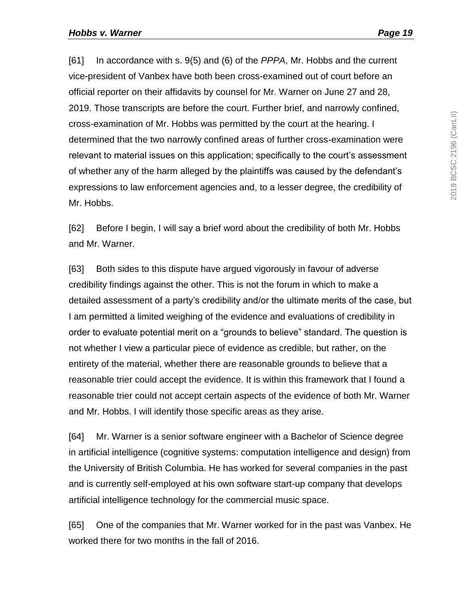[61] In accordance with s. 9(5) and (6) of the *PPPA*, Mr. Hobbs and the current vice-president of Vanbex have both been cross-examined out of court before an official reporter on their affidavits by counsel for Mr. Warner on June 27 and 28, 2019. Those transcripts are before the court. Further brief, and narrowly confined, cross-examination of Mr. Hobbs was permitted by the court at the hearing. I determined that the two narrowly confined areas of further cross-examination were relevant to material issues on this application; specifically to the court's assessment of whether any of the harm alleged by the plaintiffs was caused by the defendant's expressions to law enforcement agencies and, to a lesser degree, the credibility of Mr. Hobbs.

[62] Before I begin, I will say a brief word about the credibility of both Mr. Hobbs and Mr. Warner.

[63] Both sides to this dispute have argued vigorously in favour of adverse credibility findings against the other. This is not the forum in which to make a detailed assessment of a party's credibility and/or the ultimate merits of the case, but I am permitted a limited weighing of the evidence and evaluations of credibility in order to evaluate potential merit on a "grounds to believe" standard. The question is not whether I view a particular piece of evidence as credible, but rather, on the entirety of the material, whether there are reasonable grounds to believe that a reasonable trier could accept the evidence. It is within this framework that I found a reasonable trier could not accept certain aspects of the evidence of both Mr. Warner and Mr. Hobbs. I will identify those specific areas as they arise.

[64] Mr. Warner is a senior software engineer with a Bachelor of Science degree in artificial intelligence (cognitive systems: computation intelligence and design) from the University of British Columbia. He has worked for several companies in the past and is currently self-employed at his own software start-up company that develops artificial intelligence technology for the commercial music space.

[65] One of the companies that Mr. Warner worked for in the past was Vanbex. He worked there for two months in the fall of 2016.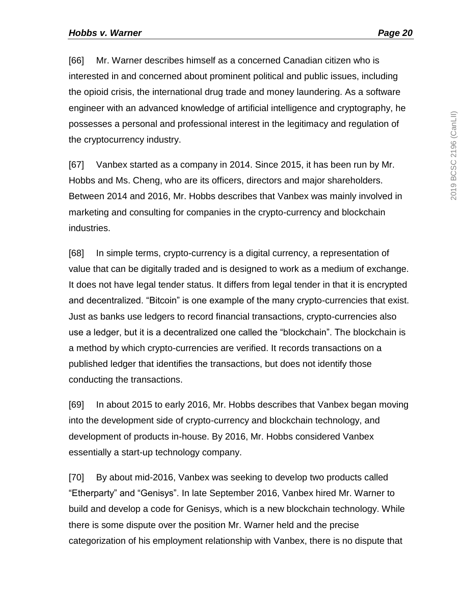[66] Mr. Warner describes himself as a concerned Canadian citizen who is interested in and concerned about prominent political and public issues, including the opioid crisis, the international drug trade and money laundering. As a software engineer with an advanced knowledge of artificial intelligence and cryptography, he possesses a personal and professional interest in the legitimacy and regulation of the cryptocurrency industry.

[67] Vanbex started as a company in 2014. Since 2015, it has been run by Mr. Hobbs and Ms. Cheng, who are its officers, directors and major shareholders. Between 2014 and 2016, Mr. Hobbs describes that Vanbex was mainly involved in marketing and consulting for companies in the crypto-currency and blockchain industries.

[68] In simple terms, crypto-currency is a digital currency, a representation of value that can be digitally traded and is designed to work as a medium of exchange. It does not have legal tender status. It differs from legal tender in that it is encrypted and decentralized. "Bitcoin" is one example of the many crypto-currencies that exist. Just as banks use ledgers to record financial transactions, crypto-currencies also use a ledger, but it is a decentralized one called the "blockchain". The blockchain is a method by which crypto-currencies are verified. It records transactions on a published ledger that identifies the transactions, but does not identify those conducting the transactions.

[69] In about 2015 to early 2016, Mr. Hobbs describes that Vanbex began moving into the development side of crypto-currency and blockchain technology, and development of products in-house. By 2016, Mr. Hobbs considered Vanbex essentially a start-up technology company.

[70] By about mid-2016, Vanbex was seeking to develop two products called "Etherparty" and "Genisys". In late September 2016, Vanbex hired Mr. Warner to build and develop a code for Genisys, which is a new blockchain technology. While there is some dispute over the position Mr. Warner held and the precise categorization of his employment relationship with Vanbex, there is no dispute that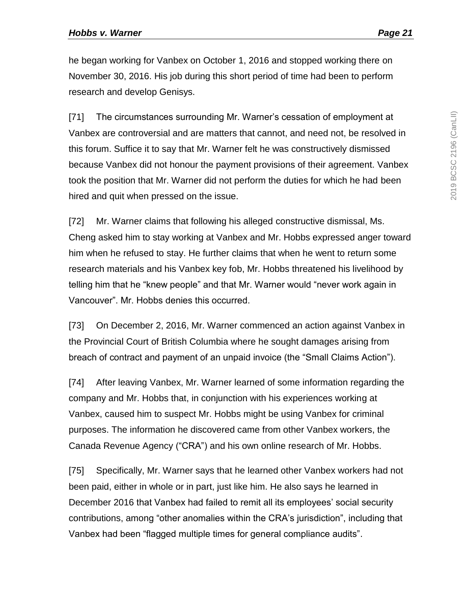he began working for Vanbex on October 1, 2016 and stopped working there on November 30, 2016. His job during this short period of time had been to perform research and develop Genisys.

[71] The circumstances surrounding Mr. Warner's cessation of employment at Vanbex are controversial and are matters that cannot, and need not, be resolved in this forum. Suffice it to say that Mr. Warner felt he was constructively dismissed because Vanbex did not honour the payment provisions of their agreement. Vanbex took the position that Mr. Warner did not perform the duties for which he had been hired and quit when pressed on the issue.

[72] Mr. Warner claims that following his alleged constructive dismissal, Ms. Cheng asked him to stay working at Vanbex and Mr. Hobbs expressed anger toward him when he refused to stay. He further claims that when he went to return some research materials and his Vanbex key fob, Mr. Hobbs threatened his livelihood by telling him that he "knew people" and that Mr. Warner would "never work again in Vancouver". Mr. Hobbs denies this occurred.

[73] On December 2, 2016, Mr. Warner commenced an action against Vanbex in the Provincial Court of British Columbia where he sought damages arising from breach of contract and payment of an unpaid invoice (the "Small Claims Action").

[74] After leaving Vanbex, Mr. Warner learned of some information regarding the company and Mr. Hobbs that, in conjunction with his experiences working at Vanbex, caused him to suspect Mr. Hobbs might be using Vanbex for criminal purposes. The information he discovered came from other Vanbex workers, the Canada Revenue Agency ("CRA") and his own online research of Mr. Hobbs.

[75] Specifically, Mr. Warner says that he learned other Vanbex workers had not been paid, either in whole or in part, just like him. He also says he learned in December 2016 that Vanbex had failed to remit all its employees' social security contributions, among "other anomalies within the CRA's jurisdiction", including that Vanbex had been "flagged multiple times for general compliance audits".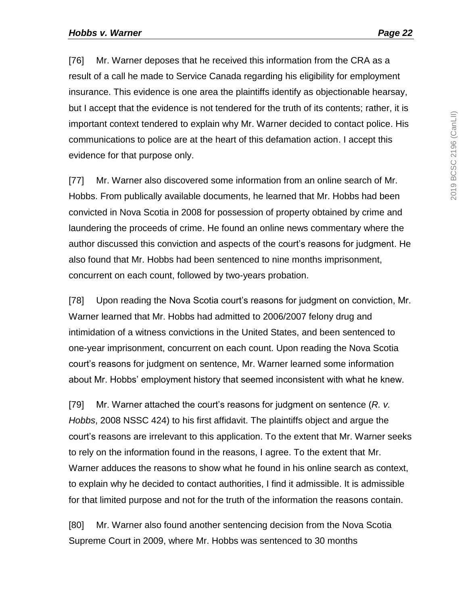[76] Mr. Warner deposes that he received this information from the CRA as a result of a call he made to Service Canada regarding his eligibility for employment insurance. This evidence is one area the plaintiffs identify as objectionable hearsay, but I accept that the evidence is not tendered for the truth of its contents; rather, it is important context tendered to explain why Mr. Warner decided to contact police. His communications to police are at the heart of this defamation action. I accept this evidence for that purpose only.

[77] Mr. Warner also discovered some information from an online search of Mr. Hobbs. From publically available documents, he learned that Mr. Hobbs had been convicted in Nova Scotia in 2008 for possession of property obtained by crime and laundering the proceeds of crime. He found an online news commentary where the author discussed this conviction and aspects of the court's reasons for judgment. He also found that Mr. Hobbs had been sentenced to nine months imprisonment, concurrent on each count, followed by two-years probation.

[78] Upon reading the Nova Scotia court's reasons for judgment on conviction, Mr. Warner learned that Mr. Hobbs had admitted to 2006/2007 felony drug and intimidation of a witness convictions in the United States, and been sentenced to one-year imprisonment, concurrent on each count. Upon reading the Nova Scotia court's reasons for judgment on sentence, Mr. Warner learned some information about Mr. Hobbs' employment history that seemed inconsistent with what he knew.

[79] Mr. Warner attached the court's reasons for judgment on sentence (*R. v. Hobbs*, 2008 NSSC 424) to his first affidavit. The plaintiffs object and argue the court's reasons are irrelevant to this application. To the extent that Mr. Warner seeks to rely on the information found in the reasons, I agree. To the extent that Mr. Warner adduces the reasons to show what he found in his online search as context, to explain why he decided to contact authorities, I find it admissible. It is admissible for that limited purpose and not for the truth of the information the reasons contain.

[80] Mr. Warner also found another sentencing decision from the Nova Scotia Supreme Court in 2009, where Mr. Hobbs was sentenced to 30 months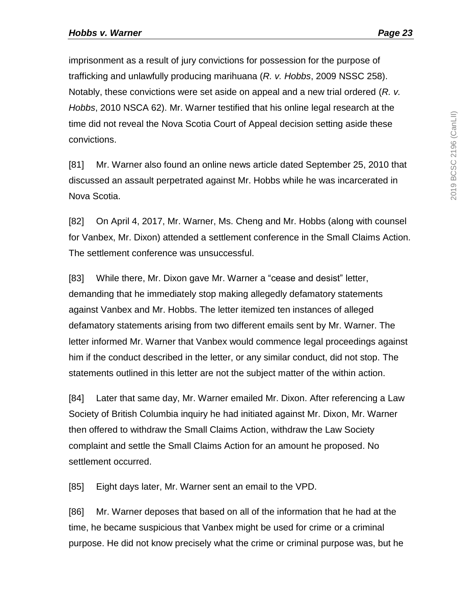imprisonment as a result of jury convictions for possession for the purpose of trafficking and unlawfully producing marihuana (*R. v. Hobbs*, 2009 NSSC 258). Notably, these convictions were set aside on appeal and a new trial ordered (*R. v. Hobbs*, 2010 NSCA 62). Mr. Warner testified that his online legal research at the time did not reveal the Nova Scotia Court of Appeal decision setting aside these convictions.

[81] Mr. Warner also found an online news article dated September 25, 2010 that discussed an assault perpetrated against Mr. Hobbs while he was incarcerated in Nova Scotia.

[82] On April 4, 2017, Mr. Warner, Ms. Cheng and Mr. Hobbs (along with counsel for Vanbex, Mr. Dixon) attended a settlement conference in the Small Claims Action. The settlement conference was unsuccessful.

[83] While there, Mr. Dixon gave Mr. Warner a "cease and desist" letter, demanding that he immediately stop making allegedly defamatory statements against Vanbex and Mr. Hobbs. The letter itemized ten instances of alleged defamatory statements arising from two different emails sent by Mr. Warner. The letter informed Mr. Warner that Vanbex would commence legal proceedings against him if the conduct described in the letter, or any similar conduct, did not stop. The statements outlined in this letter are not the subject matter of the within action.

[84] Later that same day, Mr. Warner emailed Mr. Dixon. After referencing a Law Society of British Columbia inquiry he had initiated against Mr. Dixon, Mr. Warner then offered to withdraw the Small Claims Action, withdraw the Law Society complaint and settle the Small Claims Action for an amount he proposed. No settlement occurred.

[85] Eight days later, Mr. Warner sent an email to the VPD.

[86] Mr. Warner deposes that based on all of the information that he had at the time, he became suspicious that Vanbex might be used for crime or a criminal purpose. He did not know precisely what the crime or criminal purpose was, but he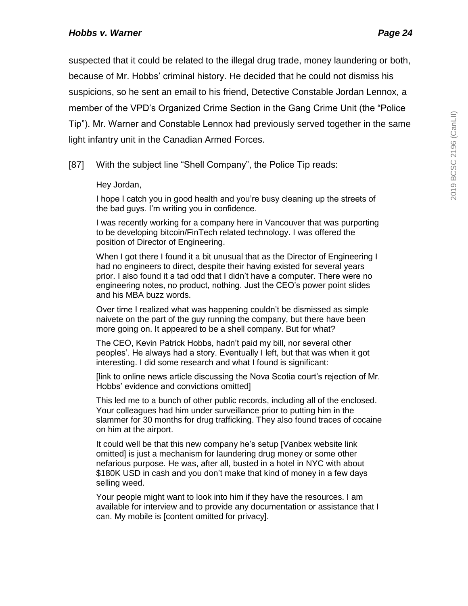suspected that it could be related to the illegal drug trade, money laundering or both, because of Mr. Hobbs' criminal history. He decided that he could not dismiss his suspicions, so he sent an email to his friend, Detective Constable Jordan Lennox, a member of the VPD's Organized Crime Section in the Gang Crime Unit (the "Police Tip"). Mr. Warner and Constable Lennox had previously served together in the same light infantry unit in the Canadian Armed Forces.

[87] With the subject line "Shell Company", the Police Tip reads:

Hey Jordan,

I hope I catch you in good health and you're busy cleaning up the streets of the bad guys. I'm writing you in confidence.

I was recently working for a company here in Vancouver that was purporting to be developing bitcoin/FinTech related technology. I was offered the position of Director of Engineering.

When I got there I found it a bit unusual that as the Director of Engineering I had no engineers to direct, despite their having existed for several years prior. I also found it a tad odd that I didn't have a computer. There were no engineering notes, no product, nothing. Just the CEO's power point slides and his MBA buzz words.

Over time I realized what was happening couldn't be dismissed as simple naivete on the part of the guy running the company, but there have been more going on. It appeared to be a shell company. But for what?

The CEO, Kevin Patrick Hobbs, hadn't paid my bill, nor several other peoples'. He always had a story. Eventually I left, but that was when it got interesting. I did some research and what I found is significant:

[link to online news article discussing the Nova Scotia court's rejection of Mr. Hobbs' evidence and convictions omitted]

This led me to a bunch of other public records, including all of the enclosed. Your colleagues had him under surveillance prior to putting him in the slammer for 30 months for drug trafficking. They also found traces of cocaine on him at the airport.

It could well be that this new company he's setup [Vanbex website link omitted] is just a mechanism for laundering drug money or some other nefarious purpose. He was, after all, busted in a hotel in NYC with about \$180K USD in cash and you don't make that kind of money in a few days selling weed.

Your people might want to look into him if they have the resources. I am available for interview and to provide any documentation or assistance that I can. My mobile is [content omitted for privacy].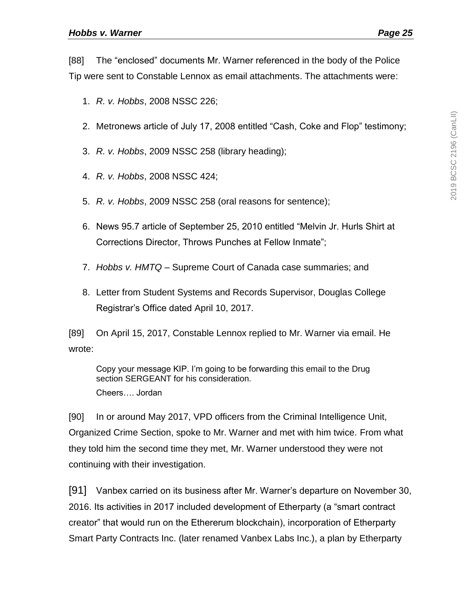[88] The "enclosed" documents Mr. Warner referenced in the body of the Police Tip were sent to Constable Lennox as email attachments. The attachments were:

- 1. *R. v. Hobbs*, 2008 NSSC 226;
- 2. Metronews article of July 17, 2008 entitled "Cash, Coke and Flop" testimony;
- 3. *R. v. Hobbs*, 2009 NSSC 258 (library heading);
- 4. *R. v. Hobbs*, 2008 NSSC 424;
- 5. *R. v. Hobbs*, 2009 NSSC 258 (oral reasons for sentence);
- 6. News 95.7 article of September 25, 2010 entitled "Melvin Jr. Hurls Shirt at Corrections Director, Throws Punches at Fellow Inmate";
- 7. *Hobbs v. HMTQ –* Supreme Court of Canada case summaries; and
- 8. Letter from Student Systems and Records Supervisor, Douglas College Registrar's Office dated April 10, 2017.

[89] On April 15, 2017, Constable Lennox replied to Mr. Warner via email. He wrote:

Copy your message KIP. I'm going to be forwarding this email to the Drug section SERGEANT for his consideration.

Cheers…. Jordan

[90] In or around May 2017, VPD officers from the Criminal Intelligence Unit, Organized Crime Section, spoke to Mr. Warner and met with him twice. From what they told him the second time they met, Mr. Warner understood they were not continuing with their investigation.

[91] Vanbex carried on its business after Mr. Warner's departure on November 30, 2016. Its activities in 2017 included development of Etherparty (a "smart contract creator" that would run on the Ethererum blockchain), incorporation of Etherparty Smart Party Contracts Inc. (later renamed Vanbex Labs Inc.), a plan by Etherparty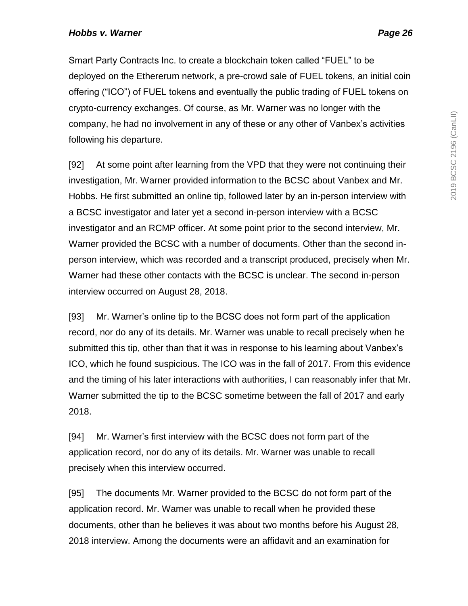Smart Party Contracts Inc. to create a blockchain token called "FUEL" to be deployed on the Ethererum network, a pre-crowd sale of FUEL tokens, an initial coin offering ("ICO") of FUEL tokens and eventually the public trading of FUEL tokens on crypto-currency exchanges. Of course, as Mr. Warner was no longer with the company, he had no involvement in any of these or any other of Vanbex's activities following his departure.

[92] At some point after learning from the VPD that they were not continuing their investigation, Mr. Warner provided information to the BCSC about Vanbex and Mr. Hobbs. He first submitted an online tip, followed later by an in-person interview with a BCSC investigator and later yet a second in-person interview with a BCSC investigator and an RCMP officer. At some point prior to the second interview, Mr. Warner provided the BCSC with a number of documents. Other than the second inperson interview, which was recorded and a transcript produced, precisely when Mr. Warner had these other contacts with the BCSC is unclear. The second in-person interview occurred on August 28, 2018.

[93] Mr. Warner's online tip to the BCSC does not form part of the application record, nor do any of its details. Mr. Warner was unable to recall precisely when he submitted this tip, other than that it was in response to his learning about Vanbex's ICO, which he found suspicious. The ICO was in the fall of 2017. From this evidence and the timing of his later interactions with authorities, I can reasonably infer that Mr. Warner submitted the tip to the BCSC sometime between the fall of 2017 and early 2018.

[94] Mr. Warner's first interview with the BCSC does not form part of the application record, nor do any of its details. Mr. Warner was unable to recall precisely when this interview occurred.

[95] The documents Mr. Warner provided to the BCSC do not form part of the application record. Mr. Warner was unable to recall when he provided these documents, other than he believes it was about two months before his August 28, 2018 interview. Among the documents were an affidavit and an examination for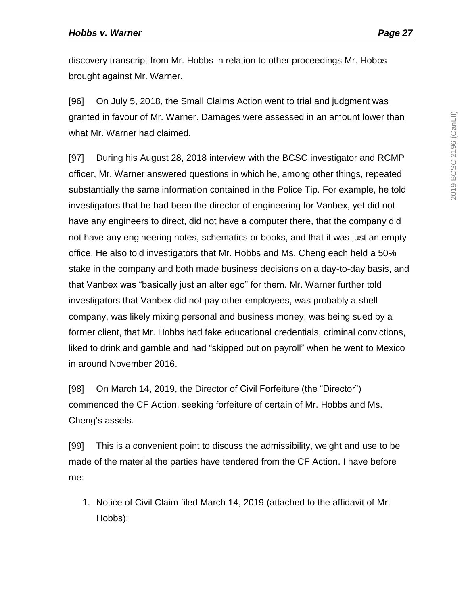discovery transcript from Mr. Hobbs in relation to other proceedings Mr. Hobbs brought against Mr. Warner.

[96] On July 5, 2018, the Small Claims Action went to trial and judgment was granted in favour of Mr. Warner. Damages were assessed in an amount lower than what Mr. Warner had claimed.

[97] During his August 28, 2018 interview with the BCSC investigator and RCMP officer, Mr. Warner answered questions in which he, among other things, repeated substantially the same information contained in the Police Tip. For example, he told investigators that he had been the director of engineering for Vanbex, yet did not have any engineers to direct, did not have a computer there, that the company did not have any engineering notes, schematics or books, and that it was just an empty office. He also told investigators that Mr. Hobbs and Ms. Cheng each held a 50% stake in the company and both made business decisions on a day-to-day basis, and that Vanbex was "basically just an alter ego" for them. Mr. Warner further told investigators that Vanbex did not pay other employees, was probably a shell company, was likely mixing personal and business money, was being sued by a former client, that Mr. Hobbs had fake educational credentials, criminal convictions, liked to drink and gamble and had "skipped out on payroll" when he went to Mexico in around November 2016.

[98] On March 14, 2019, the Director of Civil Forfeiture (the "Director") commenced the CF Action, seeking forfeiture of certain of Mr. Hobbs and Ms. Cheng's assets.

[99] This is a convenient point to discuss the admissibility, weight and use to be made of the material the parties have tendered from the CF Action. I have before me:

1. Notice of Civil Claim filed March 14, 2019 (attached to the affidavit of Mr. Hobbs);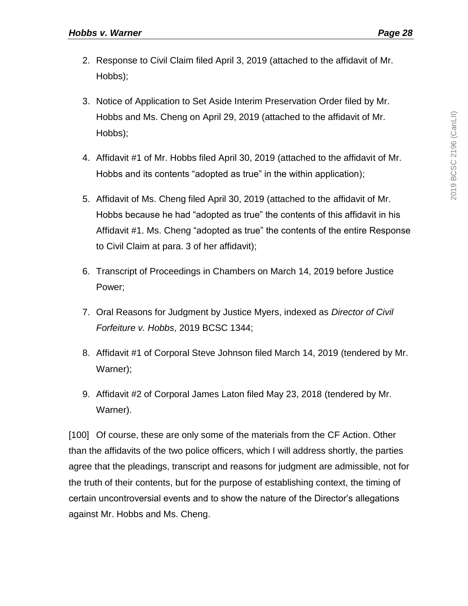- 2. Response to Civil Claim filed April 3, 2019 (attached to the affidavit of Mr. Hobbs);
- 3. Notice of Application to Set Aside Interim Preservation Order filed by Mr. Hobbs and Ms. Cheng on April 29, 2019 (attached to the affidavit of Mr. Hobbs);
- 4. Affidavit #1 of Mr. Hobbs filed April 30, 2019 (attached to the affidavit of Mr. Hobbs and its contents "adopted as true" in the within application);
- 5. Affidavit of Ms. Cheng filed April 30, 2019 (attached to the affidavit of Mr. Hobbs because he had "adopted as true" the contents of this affidavit in his Affidavit #1. Ms. Cheng "adopted as true" the contents of the entire Response to Civil Claim at para. 3 of her affidavit);
- 6. Transcript of Proceedings in Chambers on March 14, 2019 before Justice Power;
- 7. Oral Reasons for Judgment by Justice Myers, indexed as *Director of Civil Forfeiture v. Hobbs*, 2019 BCSC 1344;
- 8. Affidavit #1 of Corporal Steve Johnson filed March 14, 2019 (tendered by Mr. Warner);
- 9. Affidavit #2 of Corporal James Laton filed May 23, 2018 (tendered by Mr. Warner).

[100] Of course, these are only some of the materials from the CF Action. Other than the affidavits of the two police officers, which I will address shortly, the parties agree that the pleadings, transcript and reasons for judgment are admissible, not for the truth of their contents, but for the purpose of establishing context, the timing of certain uncontroversial events and to show the nature of the Director's allegations against Mr. Hobbs and Ms. Cheng.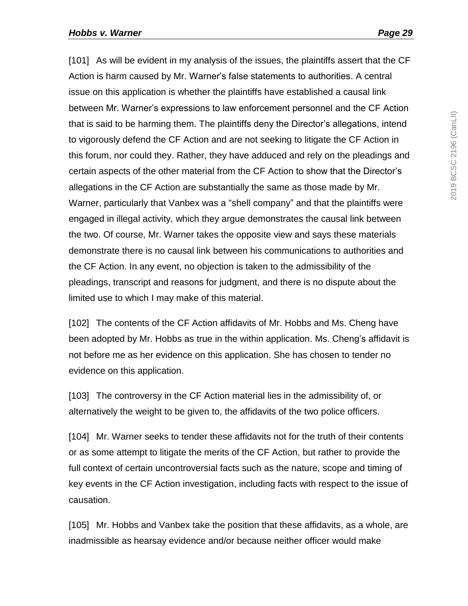[101] As will be evident in my analysis of the issues, the plaintiffs assert that the CF Action is harm caused by Mr. Warner's false statements to authorities. A central issue on this application is whether the plaintiffs have established a causal link between Mr. Warner's expressions to law enforcement personnel and the CF Action that is said to be harming them. The plaintiffs deny the Director's allegations, intend to vigorously defend the CF Action and are not seeking to litigate the CF Action in this forum, nor could they. Rather, they have adduced and rely on the pleadings and certain aspects of the other material from the CF Action to show that the Director's allegations in the CF Action are substantially the same as those made by Mr. Warner, particularly that Vanbex was a "shell company" and that the plaintiffs were engaged in illegal activity, which they argue demonstrates the causal link between the two. Of course, Mr. Warner takes the opposite view and says these materials demonstrate there is no causal link between his communications to authorities and the CF Action. In any event, no objection is taken to the admissibility of the pleadings, transcript and reasons for judgment, and there is no dispute about the limited use to which I may make of this material.

[102] The contents of the CF Action affidavits of Mr. Hobbs and Ms. Cheng have been adopted by Mr. Hobbs as true in the within application. Ms. Cheng's affidavit is not before me as her evidence on this application. She has chosen to tender no evidence on this application.

[103] The controversy in the CF Action material lies in the admissibility of, or alternatively the weight to be given to, the affidavits of the two police officers.

[104] Mr. Warner seeks to tender these affidavits not for the truth of their contents or as some attempt to litigate the merits of the CF Action, but rather to provide the full context of certain uncontroversial facts such as the nature, scope and timing of key events in the CF Action investigation, including facts with respect to the issue of causation.

[105] Mr. Hobbs and Vanbex take the position that these affidavits, as a whole, are inadmissible as hearsay evidence and/or because neither officer would make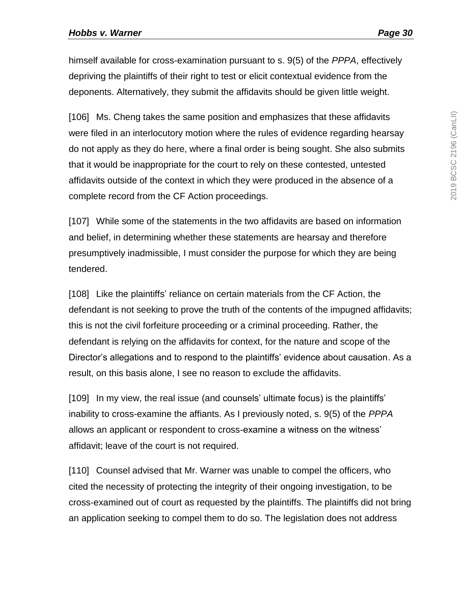himself available for cross-examination pursuant to s. 9(5) of the *PPPA*, effectively depriving the plaintiffs of their right to test or elicit contextual evidence from the deponents. Alternatively, they submit the affidavits should be given little weight.

[106] Ms. Cheng takes the same position and emphasizes that these affidavits were filed in an interlocutory motion where the rules of evidence regarding hearsay do not apply as they do here, where a final order is being sought. She also submits that it would be inappropriate for the court to rely on these contested, untested affidavits outside of the context in which they were produced in the absence of a complete record from the CF Action proceedings.

[107] While some of the statements in the two affidavits are based on information and belief, in determining whether these statements are hearsay and therefore presumptively inadmissible, I must consider the purpose for which they are being tendered.

[108] Like the plaintiffs' reliance on certain materials from the CF Action, the defendant is not seeking to prove the truth of the contents of the impugned affidavits; this is not the civil forfeiture proceeding or a criminal proceeding. Rather, the defendant is relying on the affidavits for context, for the nature and scope of the Director's allegations and to respond to the plaintiffs' evidence about causation. As a result, on this basis alone, I see no reason to exclude the affidavits.

[109] In my view, the real issue (and counsels' ultimate focus) is the plaintiffs' inability to cross-examine the affiants. As I previously noted, s. 9(5) of the *PPPA* allows an applicant or respondent to cross-examine a witness on the witness' affidavit; leave of the court is not required.

[110] Counsel advised that Mr. Warner was unable to compel the officers, who cited the necessity of protecting the integrity of their ongoing investigation, to be cross-examined out of court as requested by the plaintiffs. The plaintiffs did not bring an application seeking to compel them to do so. The legislation does not address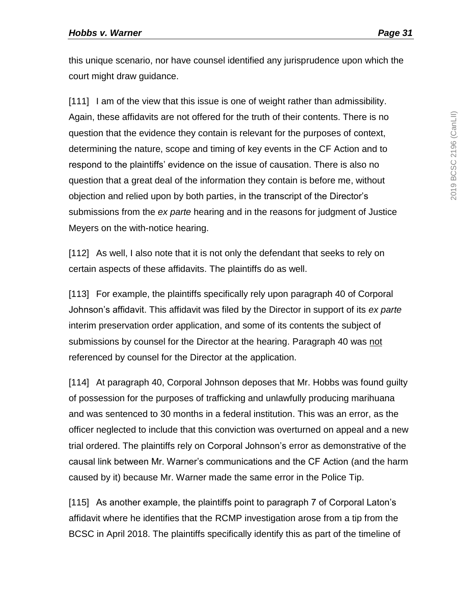this unique scenario, nor have counsel identified any jurisprudence upon which the court might draw guidance.

[111] I am of the view that this issue is one of weight rather than admissibility. Again, these affidavits are not offered for the truth of their contents. There is no question that the evidence they contain is relevant for the purposes of context, determining the nature, scope and timing of key events in the CF Action and to respond to the plaintiffs' evidence on the issue of causation. There is also no question that a great deal of the information they contain is before me, without objection and relied upon by both parties, in the transcript of the Director's submissions from the *ex parte* hearing and in the reasons for judgment of Justice Meyers on the with-notice hearing.

[112] As well, I also note that it is not only the defendant that seeks to rely on certain aspects of these affidavits. The plaintiffs do as well.

[113] For example, the plaintiffs specifically rely upon paragraph 40 of Corporal Johnson's affidavit. This affidavit was filed by the Director in support of its *ex parte* interim preservation order application, and some of its contents the subject of submissions by counsel for the Director at the hearing. Paragraph 40 was not referenced by counsel for the Director at the application.

[114] At paragraph 40, Corporal Johnson deposes that Mr. Hobbs was found guilty of possession for the purposes of trafficking and unlawfully producing marihuana and was sentenced to 30 months in a federal institution. This was an error, as the officer neglected to include that this conviction was overturned on appeal and a new trial ordered. The plaintiffs rely on Corporal Johnson's error as demonstrative of the causal link between Mr. Warner's communications and the CF Action (and the harm caused by it) because Mr. Warner made the same error in the Police Tip.

[115] As another example, the plaintiffs point to paragraph 7 of Corporal Laton's affidavit where he identifies that the RCMP investigation arose from a tip from the BCSC in April 2018. The plaintiffs specifically identify this as part of the timeline of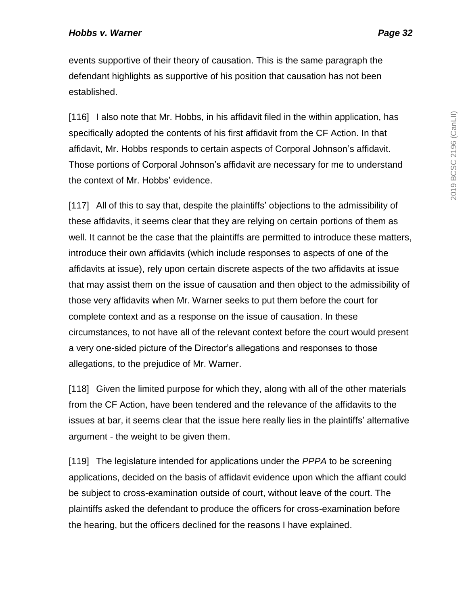events supportive of their theory of causation. This is the same paragraph the defendant highlights as supportive of his position that causation has not been established.

[116] I also note that Mr. Hobbs, in his affidavit filed in the within application, has specifically adopted the contents of his first affidavit from the CF Action. In that affidavit, Mr. Hobbs responds to certain aspects of Corporal Johnson's affidavit. Those portions of Corporal Johnson's affidavit are necessary for me to understand the context of Mr. Hobbs' evidence.

[117] All of this to say that, despite the plaintiffs' objections to the admissibility of these affidavits, it seems clear that they are relying on certain portions of them as well. It cannot be the case that the plaintiffs are permitted to introduce these matters, introduce their own affidavits (which include responses to aspects of one of the affidavits at issue), rely upon certain discrete aspects of the two affidavits at issue that may assist them on the issue of causation and then object to the admissibility of those very affidavits when Mr. Warner seeks to put them before the court for complete context and as a response on the issue of causation. In these circumstances, to not have all of the relevant context before the court would present a very one-sided picture of the Director's allegations and responses to those allegations, to the prejudice of Mr. Warner.

[118] Given the limited purpose for which they, along with all of the other materials from the CF Action, have been tendered and the relevance of the affidavits to the issues at bar, it seems clear that the issue here really lies in the plaintiffs' alternative argument - the weight to be given them.

[119] The legislature intended for applications under the *PPPA* to be screening applications, decided on the basis of affidavit evidence upon which the affiant could be subject to cross-examination outside of court, without leave of the court. The plaintiffs asked the defendant to produce the officers for cross-examination before the hearing, but the officers declined for the reasons I have explained.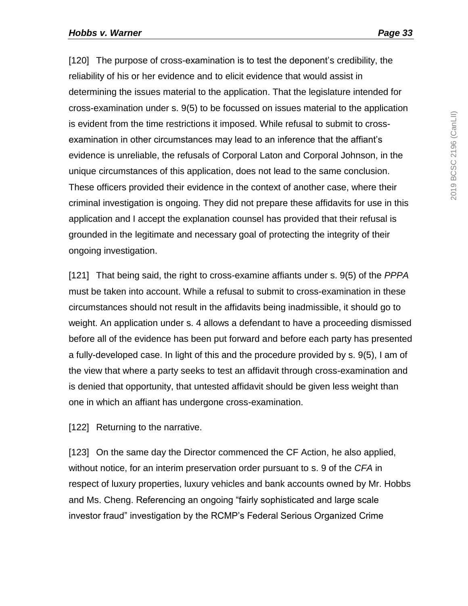[120] The purpose of cross-examination is to test the deponent's credibility, the reliability of his or her evidence and to elicit evidence that would assist in determining the issues material to the application. That the legislature intended for cross-examination under s. 9(5) to be focussed on issues material to the application is evident from the time restrictions it imposed. While refusal to submit to crossexamination in other circumstances may lead to an inference that the affiant's evidence is unreliable, the refusals of Corporal Laton and Corporal Johnson, in the unique circumstances of this application, does not lead to the same conclusion. These officers provided their evidence in the context of another case, where their criminal investigation is ongoing. They did not prepare these affidavits for use in this application and I accept the explanation counsel has provided that their refusal is grounded in the legitimate and necessary goal of protecting the integrity of their ongoing investigation.

[121] That being said, the right to cross-examine affiants under s. 9(5) of the *PPPA* must be taken into account. While a refusal to submit to cross-examination in these circumstances should not result in the affidavits being inadmissible, it should go to weight. An application under s. 4 allows a defendant to have a proceeding dismissed before all of the evidence has been put forward and before each party has presented a fully-developed case. In light of this and the procedure provided by s. 9(5), I am of the view that where a party seeks to test an affidavit through cross-examination and is denied that opportunity, that untested affidavit should be given less weight than one in which an affiant has undergone cross-examination.

[122] Returning to the narrative.

[123] On the same day the Director commenced the CF Action, he also applied, without notice, for an interim preservation order pursuant to s. 9 of the *CFA* in respect of luxury properties, luxury vehicles and bank accounts owned by Mr. Hobbs and Ms. Cheng. Referencing an ongoing "fairly sophisticated and large scale investor fraud" investigation by the RCMP's Federal Serious Organized Crime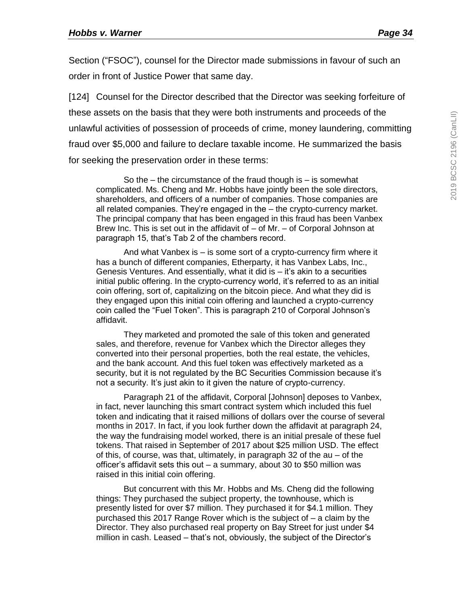Section ("FSOC"), counsel for the Director made submissions in favour of such an order in front of Justice Power that same day.

[124] Counsel for the Director described that the Director was seeking forfeiture of these assets on the basis that they were both instruments and proceeds of the unlawful activities of possession of proceeds of crime, money laundering, committing fraud over \$5,000 and failure to declare taxable income. He summarized the basis for seeking the preservation order in these terms:

So the – the circumstance of the fraud though is – is somewhat complicated. Ms. Cheng and Mr. Hobbs have jointly been the sole directors, shareholders, and officers of a number of companies. Those companies are all related companies. They're engaged in the – the crypto-currency market. The principal company that has been engaged in this fraud has been Vanbex Brew Inc. This is set out in the affidavit of – of Mr. – of Corporal Johnson at paragraph 15, that's Tab 2 of the chambers record.

And what Vanbex is – is some sort of a crypto-currency firm where it has a bunch of different companies, Etherparty, it has Vanbex Labs, Inc., Genesis Ventures. And essentially, what it did is – it's akin to a securities initial public offering. In the crypto-currency world, it's referred to as an initial coin offering, sort of, capitalizing on the bitcoin piece. And what they did is they engaged upon this initial coin offering and launched a crypto-currency coin called the "Fuel Token". This is paragraph 210 of Corporal Johnson's affidavit.

They marketed and promoted the sale of this token and generated sales, and therefore, revenue for Vanbex which the Director alleges they converted into their personal properties, both the real estate, the vehicles, and the bank account. And this fuel token was effectively marketed as a security, but it is not regulated by the BC Securities Commission because it's not a security. It's just akin to it given the nature of crypto-currency.

Paragraph 21 of the affidavit, Corporal [Johnson] deposes to Vanbex, in fact, never launching this smart contract system which included this fuel token and indicating that it raised millions of dollars over the course of several months in 2017. In fact, if you look further down the affidavit at paragraph 24, the way the fundraising model worked, there is an initial presale of these fuel tokens. That raised in September of 2017 about \$25 million USD. The effect of this, of course, was that, ultimately, in paragraph 32 of the au – of the officer's affidavit sets this out – a summary, about 30 to \$50 million was raised in this initial coin offering.

But concurrent with this Mr. Hobbs and Ms. Cheng did the following things: They purchased the subject property, the townhouse, which is presently listed for over \$7 million. They purchased it for \$4.1 million. They purchased this 2017 Range Rover which is the subject of – a claim by the Director. They also purchased real property on Bay Street for just under \$4 million in cash. Leased – that's not, obviously, the subject of the Director's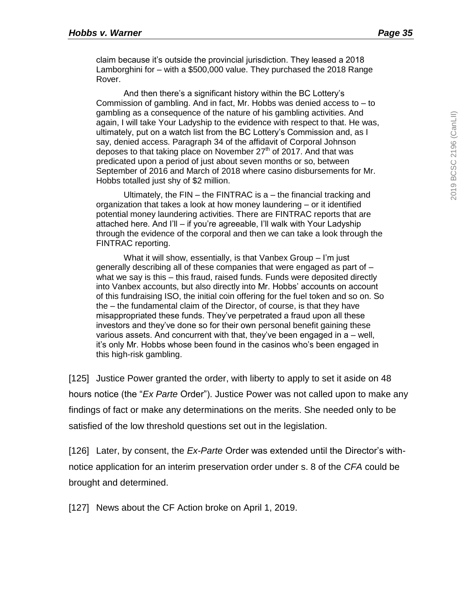claim because it's outside the provincial jurisdiction. They leased a 2018 Lamborghini for – with a \$500,000 value. They purchased the 2018 Range Rover.

And then there's a significant history within the BC Lottery's Commission of gambling. And in fact, Mr. Hobbs was denied access to – to gambling as a consequence of the nature of his gambling activities. And again, I will take Your Ladyship to the evidence with respect to that. He was, ultimately, put on a watch list from the BC Lottery's Commission and, as I say, denied access. Paragraph 34 of the affidavit of Corporal Johnson deposes to that taking place on November  $27<sup>th</sup>$  of 2017. And that was predicated upon a period of just about seven months or so, between September of 2016 and March of 2018 where casino disbursements for Mr. Hobbs totalled just shy of \$2 million.

Ultimately, the FIN – the FINTRAC is a – the financial tracking and organization that takes a look at how money laundering – or it identified potential money laundering activities. There are FINTRAC reports that are attached here. And I'll – if you're agreeable, I'll walk with Your Ladyship through the evidence of the corporal and then we can take a look through the FINTRAC reporting.

What it will show, essentially, is that Vanbex Group – I'm just generally describing all of these companies that were engaged as part of – what we say is this – this fraud, raised funds. Funds were deposited directly into Vanbex accounts, but also directly into Mr. Hobbs' accounts on account of this fundraising ISO, the initial coin offering for the fuel token and so on. So the – the fundamental claim of the Director, of course, is that they have misappropriated these funds. They've perpetrated a fraud upon all these investors and they've done so for their own personal benefit gaining these various assets. And concurrent with that, they've been engaged in a – well, it's only Mr. Hobbs whose been found in the casinos who's been engaged in this high-risk gambling.

[125] Justice Power granted the order, with liberty to apply to set it aside on 48 hours notice (the "*Ex Parte* Order"). Justice Power was not called upon to make any findings of fact or make any determinations on the merits. She needed only to be satisfied of the low threshold questions set out in the legislation.

[126] Later, by consent, the *Ex-Parte* Order was extended until the Director's withnotice application for an interim preservation order under s. 8 of the *CFA* could be brought and determined.

[127] News about the CF Action broke on April 1, 2019.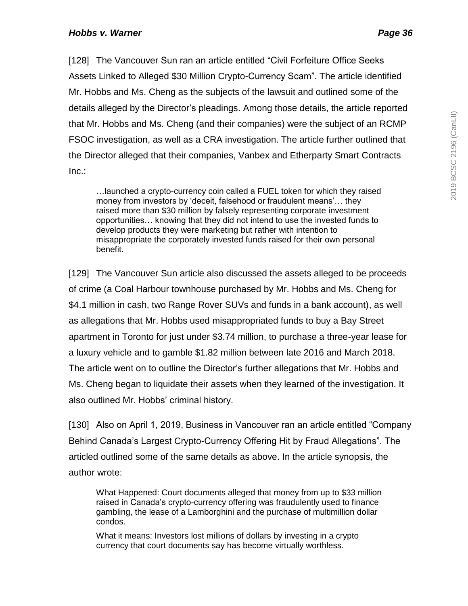[128] The Vancouver Sun ran an article entitled "Civil Forfeiture Office Seeks Assets Linked to Alleged \$30 Million Crypto-Currency Scam". The article identified Mr. Hobbs and Ms. Cheng as the subjects of the lawsuit and outlined some of the details alleged by the Director's pleadings. Among those details, the article reported that Mr. Hobbs and Ms. Cheng (and their companies) were the subject of an RCMP FSOC investigation, as well as a CRA investigation. The article further outlined that the Director alleged that their companies, Vanbex and Etherparty Smart Contracts Inc.:

…launched a crypto-currency coin called a FUEL token for which they raised money from investors by 'deceit, falsehood or fraudulent means'… they raised more than \$30 million by falsely representing corporate investment opportunities… knowing that they did not intend to use the invested funds to develop products they were marketing but rather with intention to misappropriate the corporately invested funds raised for their own personal benefit.

[129] The Vancouver Sun article also discussed the assets alleged to be proceeds of crime (a Coal Harbour townhouse purchased by Mr. Hobbs and Ms. Cheng for \$4.1 million in cash, two Range Rover SUVs and funds in a bank account), as well as allegations that Mr. Hobbs used misappropriated funds to buy a Bay Street apartment in Toronto for just under \$3.74 million, to purchase a three-year lease for a luxury vehicle and to gamble \$1.82 million between late 2016 and March 2018. The article went on to outline the Director's further allegations that Mr. Hobbs and Ms. Cheng began to liquidate their assets when they learned of the investigation. It also outlined Mr. Hobbs' criminal history.

[130] Also on April 1, 2019, Business in Vancouver ran an article entitled "Company Behind Canada's Largest Crypto-Currency Offering Hit by Fraud Allegations". The articled outlined some of the same details as above. In the article synopsis, the author wrote:

What Happened: Court documents alleged that money from up to \$33 million raised in Canada's crypto-currency offering was fraudulently used to finance gambling, the lease of a Lamborghini and the purchase of multimillion dollar condos.

What it means: Investors lost millions of dollars by investing in a crypto currency that court documents say has become virtually worthless.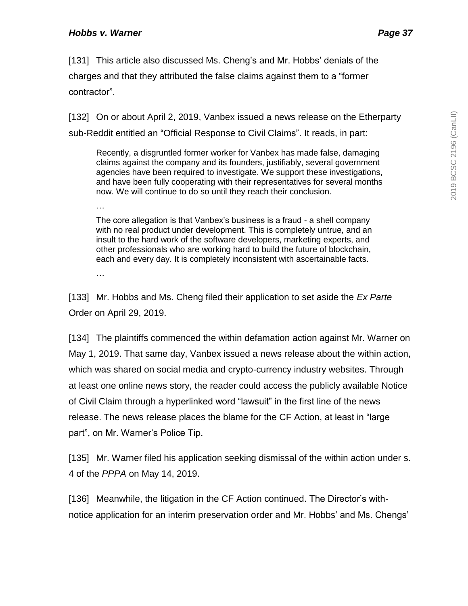[131] This article also discussed Ms. Cheng's and Mr. Hobbs' denials of the charges and that they attributed the false claims against them to a "former contractor".

[132] On or about April 2, 2019, Vanbex issued a news release on the Etherparty sub-Reddit entitled an "Official Response to Civil Claims". It reads, in part:

Recently, a disgruntled former worker for Vanbex has made false, damaging claims against the company and its founders, justifiably, several government agencies have been required to investigate. We support these investigations, and have been fully cooperating with their representatives for several months now. We will continue to do so until they reach their conclusion.

…

The core allegation is that Vanbex's business is a fraud - a shell company with no real product under development. This is completely untrue, and an insult to the hard work of the software developers, marketing experts, and other professionals who are working hard to build the future of blockchain, each and every day. It is completely inconsistent with ascertainable facts.

…

[133] Mr. Hobbs and Ms. Cheng filed their application to set aside the *Ex Parte* Order on April 29, 2019.

[134] The plaintiffs commenced the within defamation action against Mr. Warner on May 1, 2019. That same day, Vanbex issued a news release about the within action, which was shared on social media and crypto-currency industry websites. Through at least one online news story, the reader could access the publicly available Notice of Civil Claim through a hyperlinked word "lawsuit" in the first line of the news release. The news release places the blame for the CF Action, at least in "large part", on Mr. Warner's Police Tip.

[135] Mr. Warner filed his application seeking dismissal of the within action under s. 4 of the *PPPA* on May 14, 2019.

[136] Meanwhile, the litigation in the CF Action continued. The Director's withnotice application for an interim preservation order and Mr. Hobbs' and Ms. Chengs'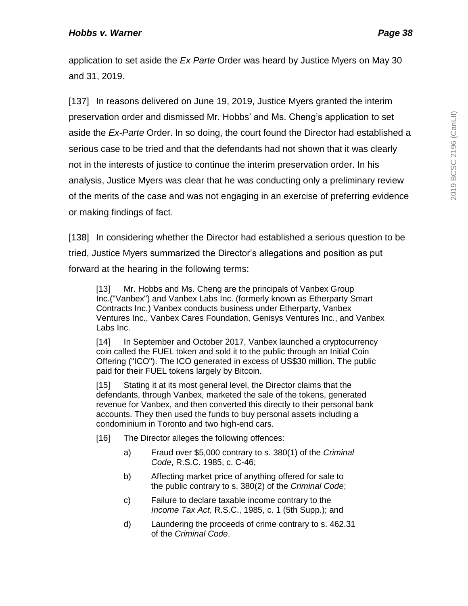application to set aside the *Ex Parte* Order was heard by Justice Myers on May 30 and 31, 2019.

[137] In reasons delivered on June 19, 2019, Justice Myers granted the interim preservation order and dismissed Mr. Hobbs' and Ms. Cheng's application to set aside the *Ex-Parte* Order. In so doing, the court found the Director had established a serious case to be tried and that the defendants had not shown that it was clearly not in the interests of justice to continue the interim preservation order. In his analysis, Justice Myers was clear that he was conducting only a preliminary review of the merits of the case and was not engaging in an exercise of preferring evidence or making findings of fact.

[138] In considering whether the Director had established a serious question to be tried, Justice Myers summarized the Director's allegations and position as put forward at the hearing in the following terms:

[13] Mr. Hobbs and Ms. Cheng are the principals of Vanbex Group Inc.("Vanbex") and Vanbex Labs Inc. (formerly known as Etherparty Smart Contracts Inc.) Vanbex conducts business under Etherparty, Vanbex Ventures Inc., Vanbex Cares Foundation, Genisys Ventures Inc., and Vanbex Labs Inc.

[14] In September and October 2017, Vanbex launched a cryptocurrency coin called the FUEL token and sold it to the public through an Initial Coin Offering ("ICO"). The ICO generated in excess of US\$30 million. The public paid for their FUEL tokens largely by Bitcoin.

[15] Stating it at its most general level, the Director claims that the defendants, through Vanbex, marketed the sale of the tokens, generated revenue for Vanbex, and then converted this directly to their personal bank accounts. They then used the funds to buy personal assets including a condominium in Toronto and two high-end cars.

[16] The Director alleges the following offences:

- a) Fraud over \$5,000 contrary to s. 380(1) of the *Criminal Code*, R.S.C. 1985, c. C-46;
- b) Affecting market price of anything offered for sale to the public contrary to s. 380(2) of the *Criminal Code*;
- c) Failure to declare taxable income contrary to the *Income Tax Act*, R.S.C., 1985, c. 1 (5th Supp.); and
- d) Laundering the proceeds of crime contrary to s. 462.31 of the *Criminal Code*.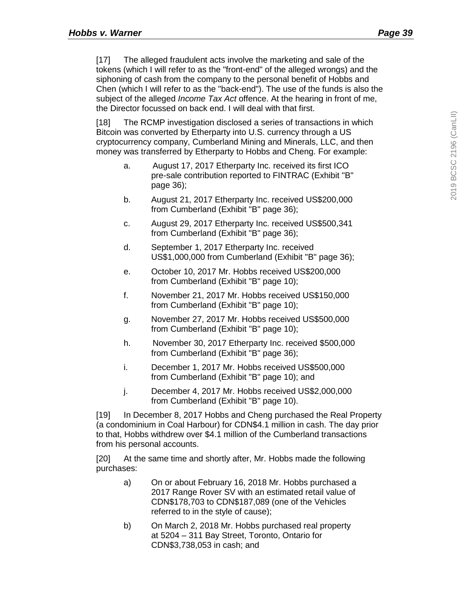[17] The alleged fraudulent acts involve the marketing and sale of the tokens (which I will refer to as the "front-end" of the alleged wrongs) and the siphoning of cash from the company to the personal benefit of Hobbs and Chen (which I will refer to as the "back-end"). The use of the funds is also the subject of the alleged *Income Tax Act* offence. At the hearing in front of me, the Director focussed on back end. I will deal with that first.

[18] The RCMP investigation disclosed a series of transactions in which Bitcoin was converted by Etherparty into U.S. currency through a US cryptocurrency company, Cumberland Mining and Minerals, LLC, and then money was transferred by Etherparty to Hobbs and Cheng. For example:

- a. August 17, 2017 Etherparty Inc. received its first ICO pre-sale contribution reported to FINTRAC (Exhibit "B" page 36);
- b. August 21, 2017 Etherparty Inc. received US\$200,000 from Cumberland (Exhibit "B" page 36);
- c. August 29, 2017 Etherparty Inc. received US\$500,341 from Cumberland (Exhibit "B" page 36);
- d. September 1, 2017 Etherparty Inc. received US\$1,000,000 from Cumberland (Exhibit "B" page 36);
- e. October 10, 2017 Mr. Hobbs received US\$200,000 from Cumberland (Exhibit "B" page 10);
- f. November 21, 2017 Mr. Hobbs received US\$150,000 from Cumberland (Exhibit "B" page 10);
- g. November 27, 2017 Mr. Hobbs received US\$500,000 from Cumberland (Exhibit "B" page 10);
- h. November 30, 2017 Etherparty Inc. received \$500,000 from Cumberland (Exhibit "B" page 36);
- i. December 1, 2017 Mr. Hobbs received US\$500,000 from Cumberland (Exhibit "B" page 10); and
- j. December 4, 2017 Mr. Hobbs received US\$2,000,000 from Cumberland (Exhibit "B" page 10).

[19] In December 8, 2017 Hobbs and Cheng purchased the Real Property (a condominium in Coal Harbour) for CDN\$4.1 million in cash. The day prior to that, Hobbs withdrew over \$4.1 million of the Cumberland transactions from his personal accounts.

[20] At the same time and shortly after, Mr. Hobbs made the following purchases:

- a) On or about February 16, 2018 Mr. Hobbs purchased a 2017 Range Rover SV with an estimated retail value of CDN\$178,703 to CDN\$187,089 (one of the Vehicles referred to in the style of cause);
- b) On March 2, 2018 Mr. Hobbs purchased real property at 5204 – 311 Bay Street, Toronto, Ontario for CDN\$3,738,053 in cash; and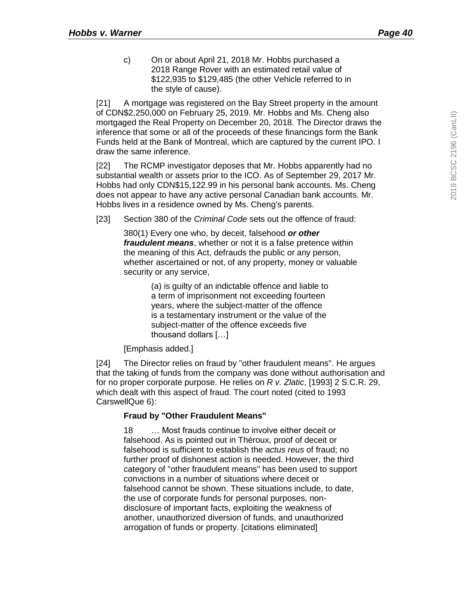c) On or about April 21, 2018 Mr. Hobbs purchased a 2018 Range Rover with an estimated retail value of \$122,935 to \$129,485 (the other Vehicle referred to in the style of cause).

[21] A mortgage was registered on the Bay Street property in the amount of CDN\$2,250,000 on February 25, 2019. Mr. Hobbs and Ms. Cheng also mortgaged the Real Property on December 20, 2018. The Director draws the inference that some or all of the proceeds of these financings form the Bank Funds held at the Bank of Montreal, which are captured by the current IPO. I draw the same inference.

[22] The RCMP investigator deposes that Mr. Hobbs apparently had no substantial wealth or assets prior to the ICO. As of September 29, 2017 Mr. Hobbs had only CDN\$15,122.99 in his personal bank accounts. Ms. Cheng does not appear to have any active personal Canadian bank accounts. Mr. Hobbs lives in a residence owned by Ms. Cheng's parents.

[23] Section 380 of the *Criminal Code* sets out the offence of fraud:

380(1) Every one who, by deceit, falsehood *or other fraudulent means*, whether or not it is a false pretence within the meaning of this Act, defrauds the public or any person, whether ascertained or not, of any property, money or valuable security or any service,

> (a) is guilty of an indictable offence and liable to a term of imprisonment not exceeding fourteen years, where the subject-matter of the offence is a testamentary instrument or the value of the subject-matter of the offence exceeds five thousand dollars […]

[Emphasis added.]

[24] The Director relies on fraud by "other fraudulent means". He argues that the taking of funds from the company was done without authorisation and for no proper corporate purpose. He relies on *R v. Zlatic*, [1993] 2 S.C.R. 29, which dealt with this aspect of fraud. The court noted (cited to 1993 CarswellQue 6):

#### **Fraud by "Other Fraudulent Means"**

18 … Most frauds continue to involve either deceit or falsehood. As is pointed out in Théroux, proof of deceit or falsehood is sufficient to establish the *actus reus* of fraud; no further proof of dishonest action is needed. However, the third category of "other fraudulent means" has been used to support convictions in a number of situations where deceit or falsehood cannot be shown. These situations include, to date, the use of corporate funds for personal purposes, nondisclosure of important facts, exploiting the weakness of another, unauthorized diversion of funds, and unauthorized arrogation of funds or property. [citations eliminated]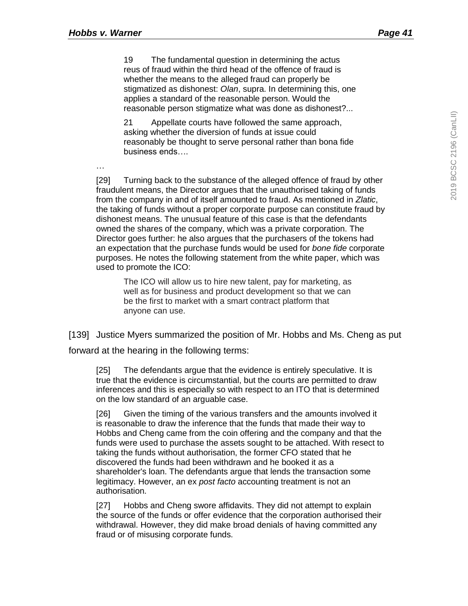…

19 The fundamental question in determining the actus reus of fraud within the third head of the offence of fraud is whether the means to the alleged fraud can properly be stigmatized as dishonest: *Olan*, supra. In determining this, one applies a standard of the reasonable person. Would the reasonable person stigmatize what was done as dishonest?...

21 Appellate courts have followed the same approach, asking whether the diversion of funds at issue could reasonably be thought to serve personal rather than bona fide business ends….

[29] Turning back to the substance of the alleged offence of fraud by other fraudulent means, the Director argues that the unauthorised taking of funds from the company in and of itself amounted to fraud. As mentioned in *Zlatic*, the taking of funds without a proper corporate purpose can constitute fraud by dishonest means. The unusual feature of this case is that the defendants owned the shares of the company, which was a private corporation. The Director goes further: he also argues that the purchasers of the tokens had an expectation that the purchase funds would be used for *bone fide* corporate purposes. He notes the following statement from the white paper, which was used to promote the ICO:

The ICO will allow us to hire new talent, pay for marketing, as well as for business and product development so that we can be the first to market with a smart contract platform that anyone can use.

[139] Justice Myers summarized the position of Mr. Hobbs and Ms. Cheng as put forward at the hearing in the following terms:

[25] The defendants argue that the evidence is entirely speculative. It is true that the evidence is circumstantial, but the courts are permitted to draw inferences and this is especially so with respect to an ITO that is determined on the low standard of an arguable case.

[26] Given the timing of the various transfers and the amounts involved it is reasonable to draw the inference that the funds that made their way to Hobbs and Cheng came from the coin offering and the company and that the funds were used to purchase the assets sought to be attached. With resect to taking the funds without authorisation, the former CFO stated that he discovered the funds had been withdrawn and he booked it as a shareholder's loan. The defendants argue that lends the transaction some legitimacy. However, an ex *post facto* accounting treatment is not an authorisation.

[27] Hobbs and Cheng swore affidavits. They did not attempt to explain the source of the funds or offer evidence that the corporation authorised their withdrawal. However, they did make broad denials of having committed any fraud or of misusing corporate funds.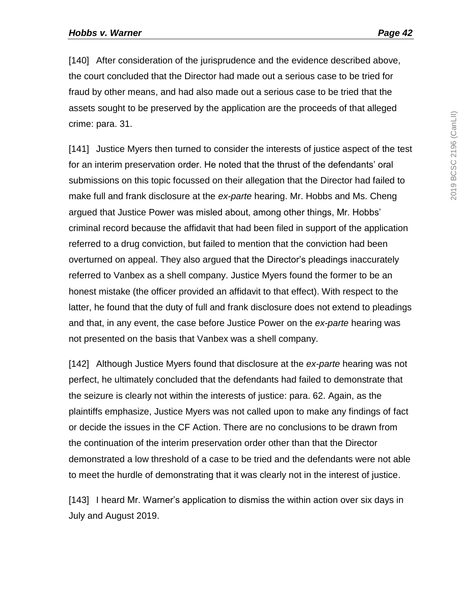[140] After consideration of the jurisprudence and the evidence described above, the court concluded that the Director had made out a serious case to be tried for fraud by other means, and had also made out a serious case to be tried that the assets sought to be preserved by the application are the proceeds of that alleged crime: para. 31.

[141] Justice Myers then turned to consider the interests of justice aspect of the test for an interim preservation order. He noted that the thrust of the defendants' oral submissions on this topic focussed on their allegation that the Director had failed to make full and frank disclosure at the *ex-parte* hearing. Mr. Hobbs and Ms. Cheng argued that Justice Power was misled about, among other things, Mr. Hobbs' criminal record because the affidavit that had been filed in support of the application referred to a drug conviction, but failed to mention that the conviction had been overturned on appeal. They also argued that the Director's pleadings inaccurately referred to Vanbex as a shell company. Justice Myers found the former to be an honest mistake (the officer provided an affidavit to that effect). With respect to the latter, he found that the duty of full and frank disclosure does not extend to pleadings and that, in any event, the case before Justice Power on the *ex-parte* hearing was not presented on the basis that Vanbex was a shell company.

[142] Although Justice Myers found that disclosure at the *ex-parte* hearing was not perfect, he ultimately concluded that the defendants had failed to demonstrate that the seizure is clearly not within the interests of justice: para. 62. Again, as the plaintiffs emphasize, Justice Myers was not called upon to make any findings of fact or decide the issues in the CF Action. There are no conclusions to be drawn from the continuation of the interim preservation order other than that the Director demonstrated a low threshold of a case to be tried and the defendants were not able to meet the hurdle of demonstrating that it was clearly not in the interest of justice.

[143] I heard Mr. Warner's application to dismiss the within action over six days in July and August 2019.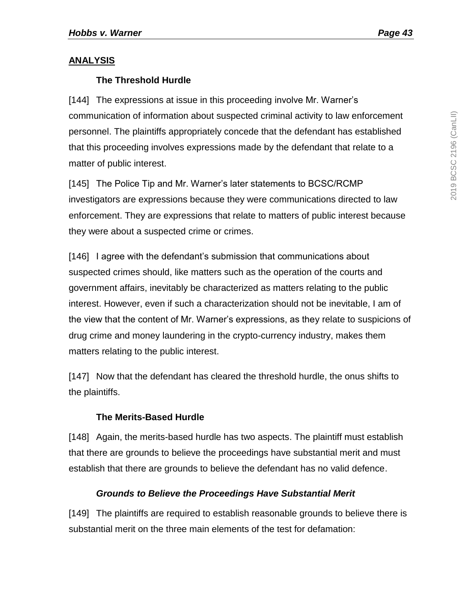### **ANALYSIS**

# **The Threshold Hurdle**

[144] The expressions at issue in this proceeding involve Mr. Warner's communication of information about suspected criminal activity to law enforcement personnel. The plaintiffs appropriately concede that the defendant has established that this proceeding involves expressions made by the defendant that relate to a matter of public interest.

[145] The Police Tip and Mr. Warner's later statements to BCSC/RCMP investigators are expressions because they were communications directed to law enforcement. They are expressions that relate to matters of public interest because they were about a suspected crime or crimes.

[146] I agree with the defendant's submission that communications about suspected crimes should, like matters such as the operation of the courts and government affairs, inevitably be characterized as matters relating to the public interest. However, even if such a characterization should not be inevitable, I am of the view that the content of Mr. Warner's expressions, as they relate to suspicions of drug crime and money laundering in the crypto-currency industry, makes them matters relating to the public interest.

[147] Now that the defendant has cleared the threshold hurdle, the onus shifts to the plaintiffs.

# **The Merits-Based Hurdle**

[148] Again, the merits-based hurdle has two aspects. The plaintiff must establish that there are grounds to believe the proceedings have substantial merit and must establish that there are grounds to believe the defendant has no valid defence.

# *Grounds to Believe the Proceedings Have Substantial Merit*

[149] The plaintiffs are required to establish reasonable grounds to believe there is substantial merit on the three main elements of the test for defamation: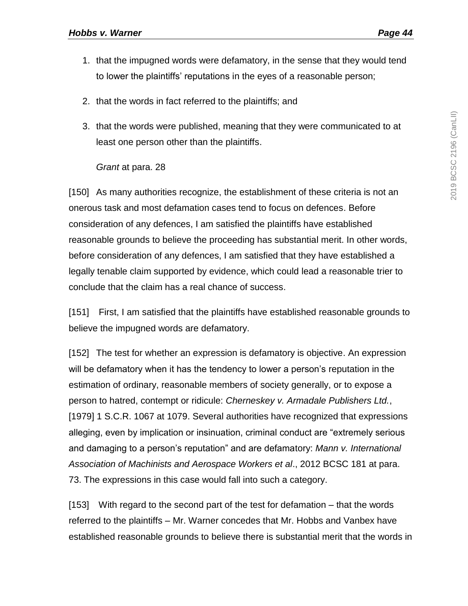- 1. that the impugned words were defamatory, in the sense that they would tend to lower the plaintiffs' reputations in the eyes of a reasonable person;
- 2. that the words in fact referred to the plaintiffs; and
- 3. that the words were published, meaning that they were communicated to at least one person other than the plaintiffs.

#### *Grant* at para. 28

[150] As many authorities recognize, the establishment of these criteria is not an onerous task and most defamation cases tend to focus on defences. Before consideration of any defences, I am satisfied the plaintiffs have established reasonable grounds to believe the proceeding has substantial merit. In other words, before consideration of any defences, I am satisfied that they have established a legally tenable claim supported by evidence, which could lead a reasonable trier to conclude that the claim has a real chance of success.

[151] First, I am satisfied that the plaintiffs have established reasonable grounds to believe the impugned words are defamatory.

[152] The test for whether an expression is defamatory is objective. An expression will be defamatory when it has the tendency to lower a person's reputation in the estimation of ordinary, reasonable members of society generally, or to expose a person to hatred, contempt or ridicule: *Cherneskey v. Armadale Publishers Ltd.*, [1979] 1 S.C.R. 1067 at 1079. Several authorities have recognized that expressions alleging, even by implication or insinuation, criminal conduct are "extremely serious and damaging to a person's reputation" and are defamatory: *Mann v. International Association of Machinists and Aerospace Workers et al*., 2012 BCSC 181 at para. 73. The expressions in this case would fall into such a category.

[153] With regard to the second part of the test for defamation – that the words referred to the plaintiffs – Mr. Warner concedes that Mr. Hobbs and Vanbex have established reasonable grounds to believe there is substantial merit that the words in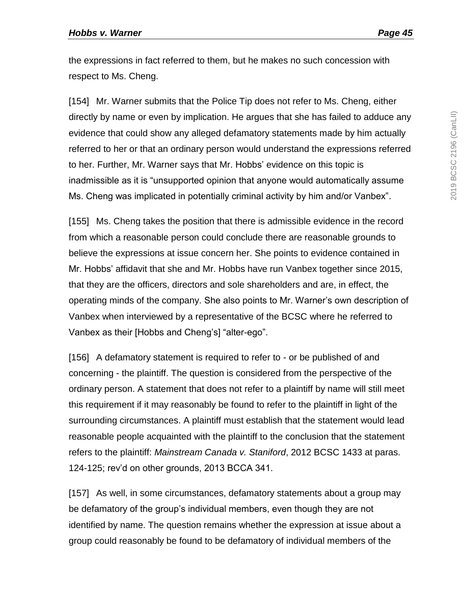the expressions in fact referred to them, but he makes no such concession with respect to Ms. Cheng.

[154] Mr. Warner submits that the Police Tip does not refer to Ms. Cheng, either directly by name or even by implication. He argues that she has failed to adduce any evidence that could show any alleged defamatory statements made by him actually referred to her or that an ordinary person would understand the expressions referred to her. Further, Mr. Warner says that Mr. Hobbs' evidence on this topic is inadmissible as it is "unsupported opinion that anyone would automatically assume Ms. Cheng was implicated in potentially criminal activity by him and/or Vanbex".

[155] Ms. Cheng takes the position that there is admissible evidence in the record from which a reasonable person could conclude there are reasonable grounds to believe the expressions at issue concern her. She points to evidence contained in Mr. Hobbs' affidavit that she and Mr. Hobbs have run Vanbex together since 2015, that they are the officers, directors and sole shareholders and are, in effect, the operating minds of the company. She also points to Mr. Warner's own description of Vanbex when interviewed by a representative of the BCSC where he referred to Vanbex as their [Hobbs and Cheng's] "alter-ego".

[156] A defamatory statement is required to refer to - or be published of and concerning - the plaintiff. The question is considered from the perspective of the ordinary person. A statement that does not refer to a plaintiff by name will still meet this requirement if it may reasonably be found to refer to the plaintiff in light of the surrounding circumstances. A plaintiff must establish that the statement would lead reasonable people acquainted with the plaintiff to the conclusion that the statement refers to the plaintiff: *Mainstream Canada v. Staniford*, 2012 BCSC 1433 at paras. 124-125; rev'd on other grounds, 2013 BCCA 341.

[157] As well, in some circumstances, defamatory statements about a group may be defamatory of the group's individual members, even though they are not identified by name. The question remains whether the expression at issue about a group could reasonably be found to be defamatory of individual members of the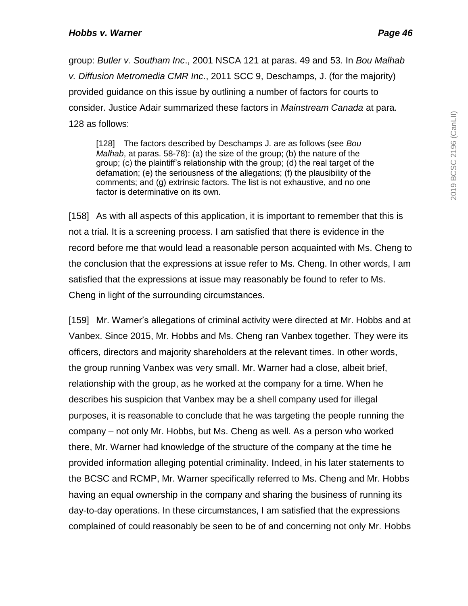group: *Butler v. Southam Inc*., 2001 NSCA 121 at paras. 49 and 53. In *Bou Malhab v. Diffusion Metromedia CMR Inc*., 2011 SCC 9, Deschamps, J. (for the majority) provided guidance on this issue by outlining a number of factors for courts to consider. Justice Adair summarized these factors in *Mainstream Canada* at para. 128 as follows:

[128] The factors described by Deschamps J. are as follows (see *Bou Malhab*, at paras. 58-78): (a) the size of the group; (b) the nature of the group; (c) the plaintiff's relationship with the group; (d) the real target of the defamation; (e) the seriousness of the allegations; (f) the plausibility of the comments; and (g) extrinsic factors. The list is not exhaustive, and no one factor is determinative on its own.

[158] As with all aspects of this application, it is important to remember that this is not a trial. It is a screening process. I am satisfied that there is evidence in the record before me that would lead a reasonable person acquainted with Ms. Cheng to the conclusion that the expressions at issue refer to Ms. Cheng. In other words, I am satisfied that the expressions at issue may reasonably be found to refer to Ms. Cheng in light of the surrounding circumstances.

[159] Mr. Warner's allegations of criminal activity were directed at Mr. Hobbs and at Vanbex. Since 2015, Mr. Hobbs and Ms. Cheng ran Vanbex together. They were its officers, directors and majority shareholders at the relevant times. In other words, the group running Vanbex was very small. Mr. Warner had a close, albeit brief, relationship with the group, as he worked at the company for a time. When he describes his suspicion that Vanbex may be a shell company used for illegal purposes, it is reasonable to conclude that he was targeting the people running the company – not only Mr. Hobbs, but Ms. Cheng as well. As a person who worked there, Mr. Warner had knowledge of the structure of the company at the time he provided information alleging potential criminality. Indeed, in his later statements to the BCSC and RCMP, Mr. Warner specifically referred to Ms. Cheng and Mr. Hobbs having an equal ownership in the company and sharing the business of running its day-to-day operations. In these circumstances, I am satisfied that the expressions complained of could reasonably be seen to be of and concerning not only Mr. Hobbs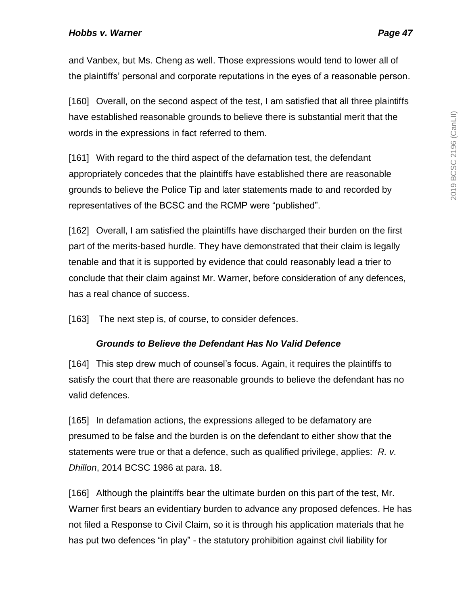and Vanbex, but Ms. Cheng as well. Those expressions would tend to lower all of the plaintiffs' personal and corporate reputations in the eyes of a reasonable person.

[160] Overall, on the second aspect of the test, I am satisfied that all three plaintiffs have established reasonable grounds to believe there is substantial merit that the words in the expressions in fact referred to them.

[161] With regard to the third aspect of the defamation test, the defendant appropriately concedes that the plaintiffs have established there are reasonable grounds to believe the Police Tip and later statements made to and recorded by representatives of the BCSC and the RCMP were "published".

[162] Overall, I am satisfied the plaintiffs have discharged their burden on the first part of the merits-based hurdle. They have demonstrated that their claim is legally tenable and that it is supported by evidence that could reasonably lead a trier to conclude that their claim against Mr. Warner, before consideration of any defences, has a real chance of success.

[163] The next step is, of course, to consider defences.

#### *Grounds to Believe the Defendant Has No Valid Defence*

[164] This step drew much of counsel's focus. Again, it requires the plaintiffs to satisfy the court that there are reasonable grounds to believe the defendant has no valid defences.

[165] In defamation actions, the expressions alleged to be defamatory are presumed to be false and the burden is on the defendant to either show that the statements were true or that a defence, such as qualified privilege, applies: *R. v. Dhillon*, 2014 BCSC 1986 at para. 18.

[166] Although the plaintiffs bear the ultimate burden on this part of the test, Mr. Warner first bears an evidentiary burden to advance any proposed defences. He has not filed a Response to Civil Claim, so it is through his application materials that he has put two defences "in play" - the statutory prohibition against civil liability for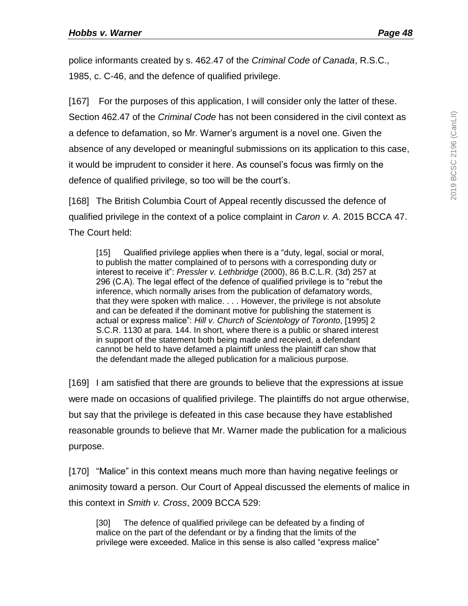police informants created by s. 462.47 of the *Criminal Code of Canada*, R.S.C., 1985, c. C-46, and the defence of qualified privilege.

[167] For the purposes of this application, I will consider only the latter of these. Section 462.47 of the *Criminal Code* has not been considered in the civil context as a defence to defamation, so Mr. Warner's argument is a novel one. Given the absence of any developed or meaningful submissions on its application to this case, it would be imprudent to consider it here. As counsel's focus was firmly on the defence of qualified privilege, so too will be the court's.

[168] The British Columbia Court of Appeal recently discussed the defence of qualified privilege in the context of a police complaint in *Caron v. A*. 2015 BCCA 47. The Court held:

[15] Qualified privilege applies when there is a "duty, legal, social or moral, to publish the matter complained of to persons with a corresponding duty or interest to receive it": *Pressler v. Lethbridge* (2000), 86 B.C.L.R. (3d) 257 at 296 (C.A). The legal effect of the defence of qualified privilege is to "rebut the inference, which normally arises from the publication of defamatory words, that they were spoken with malice. . . . However, the privilege is not absolute and can be defeated if the dominant motive for publishing the statement is actual or express malice": *Hill v. Church of Scientology of Toronto*, [1995] 2 S.C.R. 1130 at para. 144. In short, where there is a public or shared interest in support of the statement both being made and received, a defendant cannot be held to have defamed a plaintiff unless the plaintiff can show that the defendant made the alleged publication for a malicious purpose.

[169] I am satisfied that there are grounds to believe that the expressions at issue were made on occasions of qualified privilege. The plaintiffs do not argue otherwise, but say that the privilege is defeated in this case because they have established reasonable grounds to believe that Mr. Warner made the publication for a malicious purpose.

[170] "Malice" in this context means much more than having negative feelings or animosity toward a person. Our Court of Appeal discussed the elements of malice in this context in *Smith v. Cross*, 2009 BCCA 529:

[30] The defence of qualified privilege can be defeated by a finding of malice on the part of the defendant or by a finding that the limits of the privilege were exceeded. Malice in this sense is also called "express malice"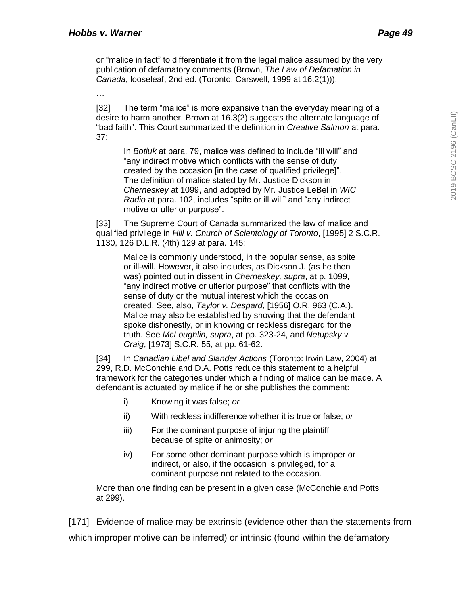or "malice in fact" to differentiate it from the legal malice assumed by the very publication of defamatory comments (Brown, *The Law of Defamation in Canada*, looseleaf, 2nd ed. (Toronto: Carswell, 1999 at 16.2(1))).

…

[32] The term "malice" is more expansive than the everyday meaning of a desire to harm another. Brown at 16.3(2) suggests the alternate language of "bad faith". This Court summarized the definition in *Creative Salmon* at para. 37:

In *Botiuk* at para. 79, malice was defined to include "ill will" and "any indirect motive which conflicts with the sense of duty created by the occasion [in the case of qualified privilege]". The definition of malice stated by Mr. Justice Dickson in *Cherneskey* at 1099, and adopted by Mr. Justice LeBel in *WIC Radio* at para. 102, includes "spite or ill will" and "any indirect motive or ulterior purpose".

[33] The Supreme Court of Canada summarized the law of malice and qualified privilege in *Hill v. Church of Scientology of Toronto*, [1995] 2 S.C.R. 1130, 126 D.L.R. (4th) 129 at para. 145:

Malice is commonly understood, in the popular sense, as spite or ill-will. However, it also includes, as Dickson J. (as he then was) pointed out in dissent in *Cherneskey, supra*, at p. 1099, "any indirect motive or ulterior purpose" that conflicts with the sense of duty or the mutual interest which the occasion created. See, also, *Taylor v. Despard*, [1956] O.R. 963 (C.A.). Malice may also be established by showing that the defendant spoke dishonestly, or in knowing or reckless disregard for the truth. See *McLoughlin, supra*, at pp. 323-24, and *Netupsky v. Craig*, [1973] S.C.R. 55, at pp. 61-62.

[34] In *Canadian Libel and Slander Actions* (Toronto: Irwin Law, 2004) at 299, R.D. McConchie and D.A. Potts reduce this statement to a helpful framework for the categories under which a finding of malice can be made. A defendant is actuated by malice if he or she publishes the comment:

- i) Knowing it was false; *or*
- ii) With reckless indifference whether it is true or false; *or*
- iii) For the dominant purpose of injuring the plaintiff because of spite or animosity; *or*
- iv) For some other dominant purpose which is improper or indirect, or also, if the occasion is privileged, for a dominant purpose not related to the occasion.

More than one finding can be present in a given case (McConchie and Potts at 299).

[171] Evidence of malice may be extrinsic (evidence other than the statements from which improper motive can be inferred) or intrinsic (found within the defamatory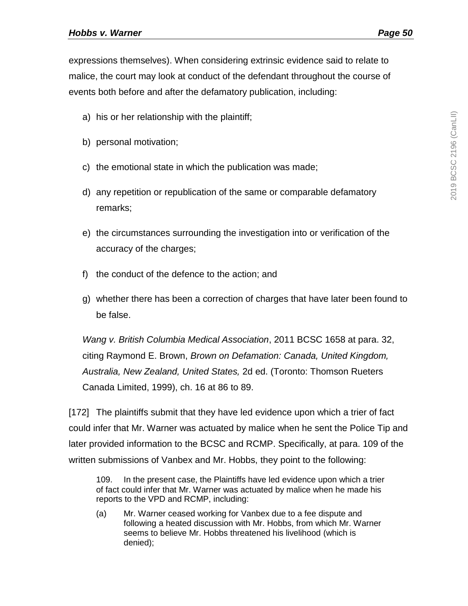expressions themselves). When considering extrinsic evidence said to relate to malice, the court may look at conduct of the defendant throughout the course of events both before and after the defamatory publication, including:

- a) his or her relationship with the plaintiff;
- b) personal motivation;
- c) the emotional state in which the publication was made;
- d) any repetition or republication of the same or comparable defamatory remarks;
- e) the circumstances surrounding the investigation into or verification of the accuracy of the charges;
- f) the conduct of the defence to the action; and
- g) whether there has been a correction of charges that have later been found to be false.

*Wang v. British Columbia Medical Association*, 2011 BCSC 1658 at para. 32, citing Raymond E. Brown, *Brown on Defamation: Canada, United Kingdom, Australia, New Zealand, United States,* 2d ed. (Toronto: Thomson Rueters Canada Limited, 1999), ch. 16 at 86 to 89.

[172] The plaintiffs submit that they have led evidence upon which a trier of fact could infer that Mr. Warner was actuated by malice when he sent the Police Tip and later provided information to the BCSC and RCMP. Specifically, at para. 109 of the written submissions of Vanbex and Mr. Hobbs, they point to the following:

109. In the present case, the Plaintiffs have led evidence upon which a trier of fact could infer that Mr. Warner was actuated by malice when he made his reports to the VPD and RCMP, including:

(a) Mr. Warner ceased working for Vanbex due to a fee dispute and following a heated discussion with Mr. Hobbs, from which Mr. Warner seems to believe Mr. Hobbs threatened his livelihood (which is denied);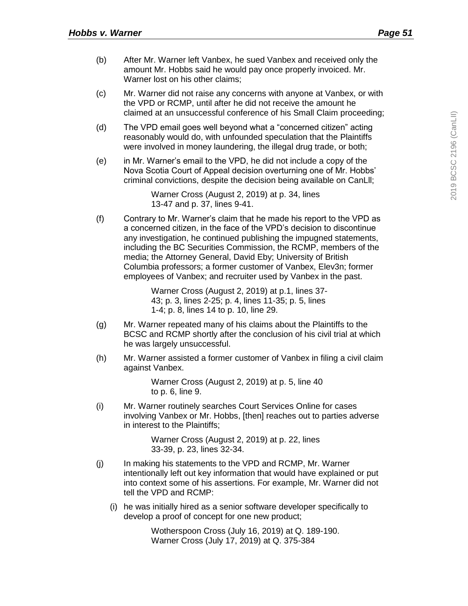- (b) After Mr. Warner left Vanbex, he sued Vanbex and received only the amount Mr. Hobbs said he would pay once properly invoiced. Mr. Warner lost on his other claims;
- (c) Mr. Warner did not raise any concerns with anyone at Vanbex, or with the VPD or RCMP, until after he did not receive the amount he claimed at an unsuccessful conference of his Small Claim proceeding;
- (d) The VPD email goes well beyond what a "concerned citizen" acting reasonably would do, with unfounded speculation that the Plaintiffs were involved in money laundering, the illegal drug trade, or both;
- (e) in Mr. Warner's email to the VPD, he did not include a copy of the Nova Scotia Court of Appeal decision overturning one of Mr. Hobbs' criminal convictions, despite the decision being available on CanLll;

Warner Cross (August 2, 2019) at p. 34, lines 13-47 and p. 37, lines 9-41.

(f) Contrary to Mr. Warner's claim that he made his report to the VPD as a concerned citizen, in the face of the VPD's decision to discontinue any investigation, he continued publishing the impugned statements, including the BC Securities Commission, the RCMP, members of the media; the Attorney General, David Eby; University of British Columbia professors; a former customer of Vanbex, Elev3n; former employees of Vanbex; and recruiter used by Vanbex in the past.

> Warner Cross (August 2, 2019) at p.1, lines 37- 43; p. 3, lines 2-25; p. 4, lines 11-35; p. 5, lines 1-4; p. 8, lines 14 to p. 10, line 29.

- (g) Mr. Warner repeated many of his claims about the Plaintiffs to the BCSC and RCMP shortly after the conclusion of his civil trial at which he was largely unsuccessful.
- (h) Mr. Warner assisted a former customer of Vanbex in filing a civil claim against Vanbex.

Warner Cross (August 2, 2019) at p. 5, line 40 to p. 6, line 9.

(i) Mr. Warner routinely searches Court Services Online for cases involving Vanbex or Mr. Hobbs, [then] reaches out to parties adverse in interest to the Plaintiffs;

> Warner Cross (August 2, 2019) at p. 22, lines 33-39, p. 23, lines 32-34.

- (j) In making his statements to the VPD and RCMP, Mr. Warner intentionally left out key information that would have explained or put into context some of his assertions. For example, Mr. Warner did not tell the VPD and RCMP:
	- (i) he was initially hired as a senior software developer specifically to develop a proof of concept for one new product;

Wotherspoon Cross (July 16, 2019) at Q. 189-190. Warner Cross (July 17, 2019) at Q. 375-384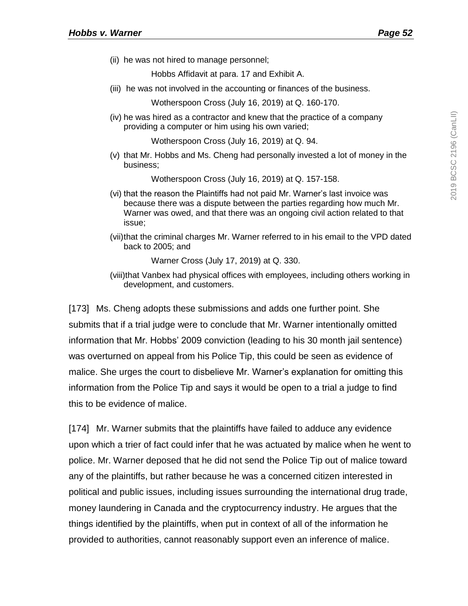(ii) he was not hired to manage personnel;

Hobbs Affidavit at para. 17 and Exhibit A.

(iii) he was not involved in the accounting or finances of the business.

Wotherspoon Cross (July 16, 2019) at Q. 160-170.

(iv) he was hired as a contractor and knew that the practice of a company providing a computer or him using his own varied;

Wotherspoon Cross (July 16, 2019) at Q. 94.

(v) that Mr. Hobbs and Ms. Cheng had personally invested a lot of money in the business;

Wotherspoon Cross (July 16, 2019) at Q. 157-158.

- (vi) that the reason the Plaintiffs had not paid Mr. Warner's last invoice was because there was a dispute between the parties regarding how much Mr. Warner was owed, and that there was an ongoing civil action related to that issue;
- (vii)that the criminal charges Mr. Warner referred to in his email to the VPD dated back to 2005; and

Warner Cross (July 17, 2019) at Q. 330.

(viii)that Vanbex had physical offices with employees, including others working in development, and customers.

[173] Ms. Cheng adopts these submissions and adds one further point. She submits that if a trial judge were to conclude that Mr. Warner intentionally omitted information that Mr. Hobbs' 2009 conviction (leading to his 30 month jail sentence) was overturned on appeal from his Police Tip, this could be seen as evidence of malice. She urges the court to disbelieve Mr. Warner's explanation for omitting this information from the Police Tip and says it would be open to a trial a judge to find this to be evidence of malice.

[174] Mr. Warner submits that the plaintiffs have failed to adduce any evidence upon which a trier of fact could infer that he was actuated by malice when he went to police. Mr. Warner deposed that he did not send the Police Tip out of malice toward any of the plaintiffs, but rather because he was a concerned citizen interested in political and public issues, including issues surrounding the international drug trade, money laundering in Canada and the cryptocurrency industry. He argues that the things identified by the plaintiffs, when put in context of all of the information he provided to authorities, cannot reasonably support even an inference of malice.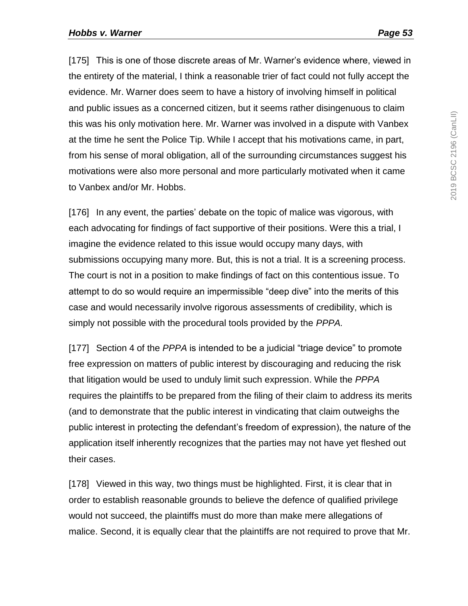[175] This is one of those discrete areas of Mr. Warner's evidence where, viewed in the entirety of the material, I think a reasonable trier of fact could not fully accept the evidence. Mr. Warner does seem to have a history of involving himself in political and public issues as a concerned citizen, but it seems rather disingenuous to claim this was his only motivation here. Mr. Warner was involved in a dispute with Vanbex at the time he sent the Police Tip. While I accept that his motivations came, in part, from his sense of moral obligation, all of the surrounding circumstances suggest his motivations were also more personal and more particularly motivated when it came to Vanbex and/or Mr. Hobbs.

[176] In any event, the parties' debate on the topic of malice was vigorous, with each advocating for findings of fact supportive of their positions. Were this a trial, I imagine the evidence related to this issue would occupy many days, with submissions occupying many more. But, this is not a trial. It is a screening process. The court is not in a position to make findings of fact on this contentious issue. To attempt to do so would require an impermissible "deep dive" into the merits of this case and would necessarily involve rigorous assessments of credibility, which is simply not possible with the procedural tools provided by the *PPPA.* 

[177] Section 4 of the *PPPA* is intended to be a judicial "triage device" to promote free expression on matters of public interest by discouraging and reducing the risk that litigation would be used to unduly limit such expression. While the *PPPA* requires the plaintiffs to be prepared from the filing of their claim to address its merits (and to demonstrate that the public interest in vindicating that claim outweighs the public interest in protecting the defendant's freedom of expression), the nature of the application itself inherently recognizes that the parties may not have yet fleshed out their cases.

[178] Viewed in this way, two things must be highlighted. First, it is clear that in order to establish reasonable grounds to believe the defence of qualified privilege would not succeed, the plaintiffs must do more than make mere allegations of malice. Second, it is equally clear that the plaintiffs are not required to prove that Mr.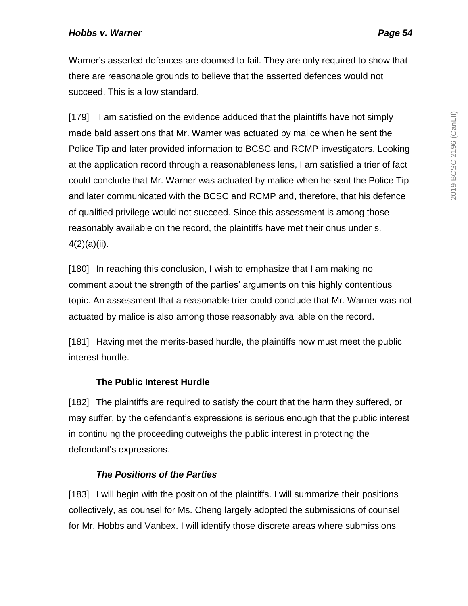Warner's asserted defences are doomed to fail. They are only required to show that there are reasonable grounds to believe that the asserted defences would not succeed. This is a low standard.

[179] I am satisfied on the evidence adduced that the plaintiffs have not simply made bald assertions that Mr. Warner was actuated by malice when he sent the Police Tip and later provided information to BCSC and RCMP investigators. Looking at the application record through a reasonableness lens, I am satisfied a trier of fact could conclude that Mr. Warner was actuated by malice when he sent the Police Tip and later communicated with the BCSC and RCMP and, therefore, that his defence of qualified privilege would not succeed. Since this assessment is among those reasonably available on the record, the plaintiffs have met their onus under s. 4(2)(a)(ii).

[180] In reaching this conclusion, I wish to emphasize that I am making no comment about the strength of the parties' arguments on this highly contentious topic. An assessment that a reasonable trier could conclude that Mr. Warner was not actuated by malice is also among those reasonably available on the record.

[181] Having met the merits-based hurdle, the plaintiffs now must meet the public interest hurdle.

### **The Public Interest Hurdle**

[182] The plaintiffs are required to satisfy the court that the harm they suffered, or may suffer, by the defendant's expressions is serious enough that the public interest in continuing the proceeding outweighs the public interest in protecting the defendant's expressions.

#### *The Positions of the Parties*

[183] I will begin with the position of the plaintiffs. I will summarize their positions collectively, as counsel for Ms. Cheng largely adopted the submissions of counsel for Mr. Hobbs and Vanbex. I will identify those discrete areas where submissions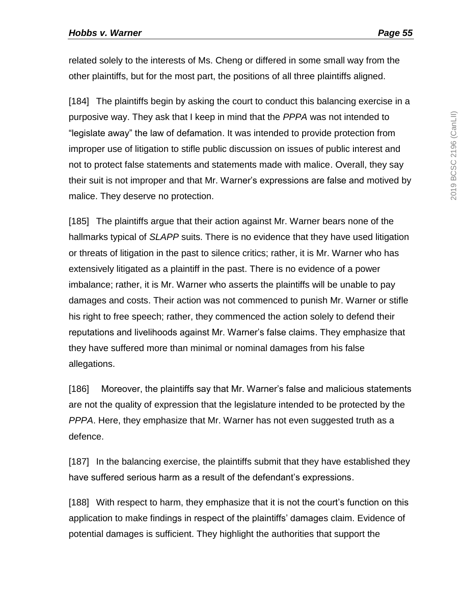related solely to the interests of Ms. Cheng or differed in some small way from the other plaintiffs, but for the most part, the positions of all three plaintiffs aligned.

[184] The plaintiffs begin by asking the court to conduct this balancing exercise in a purposive way. They ask that I keep in mind that the *PPPA* was not intended to "legislate away" the law of defamation. It was intended to provide protection from improper use of litigation to stifle public discussion on issues of public interest and not to protect false statements and statements made with malice. Overall, they say their suit is not improper and that Mr. Warner's expressions are false and motived by malice. They deserve no protection.

[185] The plaintiffs argue that their action against Mr. Warner bears none of the hallmarks typical of *SLAPP* suits. There is no evidence that they have used litigation or threats of litigation in the past to silence critics; rather, it is Mr. Warner who has extensively litigated as a plaintiff in the past. There is no evidence of a power imbalance; rather, it is Mr. Warner who asserts the plaintiffs will be unable to pay damages and costs. Their action was not commenced to punish Mr. Warner or stifle his right to free speech; rather, they commenced the action solely to defend their reputations and livelihoods against Mr. Warner's false claims. They emphasize that they have suffered more than minimal or nominal damages from his false allegations.

[186] Moreover, the plaintiffs say that Mr. Warner's false and malicious statements are not the quality of expression that the legislature intended to be protected by the *PPPA*. Here, they emphasize that Mr. Warner has not even suggested truth as a defence.

[187] In the balancing exercise, the plaintiffs submit that they have established they have suffered serious harm as a result of the defendant's expressions.

[188] With respect to harm, they emphasize that it is not the court's function on this application to make findings in respect of the plaintiffs' damages claim. Evidence of potential damages is sufficient. They highlight the authorities that support the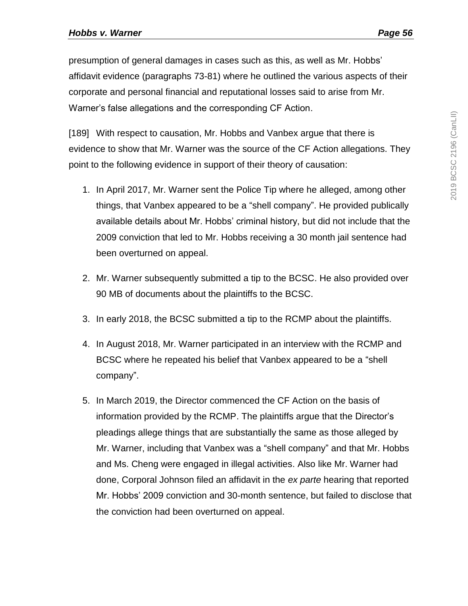presumption of general damages in cases such as this, as well as Mr. Hobbs' affidavit evidence (paragraphs 73-81) where he outlined the various aspects of their corporate and personal financial and reputational losses said to arise from Mr. Warner's false allegations and the corresponding CF Action.

[189] With respect to causation, Mr. Hobbs and Vanbex argue that there is evidence to show that Mr. Warner was the source of the CF Action allegations. They point to the following evidence in support of their theory of causation:

- 1. In April 2017, Mr. Warner sent the Police Tip where he alleged, among other things, that Vanbex appeared to be a "shell company". He provided publically available details about Mr. Hobbs' criminal history, but did not include that the 2009 conviction that led to Mr. Hobbs receiving a 30 month jail sentence had been overturned on appeal.
- 2. Mr. Warner subsequently submitted a tip to the BCSC. He also provided over 90 MB of documents about the plaintiffs to the BCSC.
- 3. In early 2018, the BCSC submitted a tip to the RCMP about the plaintiffs.
- 4. In August 2018, Mr. Warner participated in an interview with the RCMP and BCSC where he repeated his belief that Vanbex appeared to be a "shell company".
- 5. In March 2019, the Director commenced the CF Action on the basis of information provided by the RCMP. The plaintiffs argue that the Director's pleadings allege things that are substantially the same as those alleged by Mr. Warner, including that Vanbex was a "shell company" and that Mr. Hobbs and Ms. Cheng were engaged in illegal activities. Also like Mr. Warner had done, Corporal Johnson filed an affidavit in the *ex parte* hearing that reported Mr. Hobbs' 2009 conviction and 30-month sentence, but failed to disclose that the conviction had been overturned on appeal.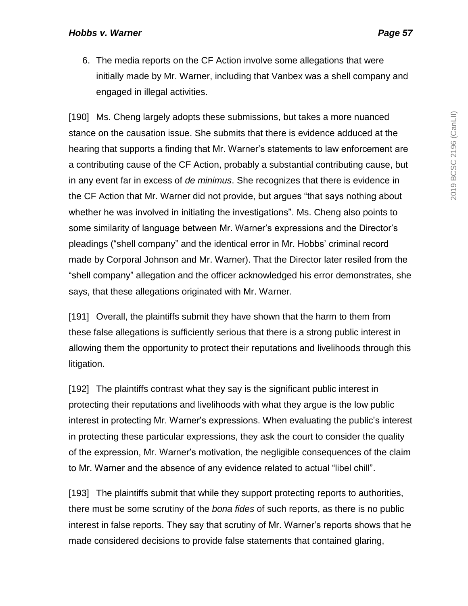6. The media reports on the CF Action involve some allegations that were initially made by Mr. Warner, including that Vanbex was a shell company and engaged in illegal activities.

[190] Ms. Cheng largely adopts these submissions, but takes a more nuanced stance on the causation issue. She submits that there is evidence adduced at the hearing that supports a finding that Mr. Warner's statements to law enforcement are a contributing cause of the CF Action, probably a substantial contributing cause, but in any event far in excess of *de minimus*. She recognizes that there is evidence in the CF Action that Mr. Warner did not provide, but argues "that says nothing about whether he was involved in initiating the investigations". Ms. Cheng also points to some similarity of language between Mr. Warner's expressions and the Director's pleadings ("shell company" and the identical error in Mr. Hobbs' criminal record made by Corporal Johnson and Mr. Warner). That the Director later resiled from the "shell company" allegation and the officer acknowledged his error demonstrates, she says, that these allegations originated with Mr. Warner.

[191] Overall, the plaintiffs submit they have shown that the harm to them from these false allegations is sufficiently serious that there is a strong public interest in allowing them the opportunity to protect their reputations and livelihoods through this litigation.

[192] The plaintiffs contrast what they say is the significant public interest in protecting their reputations and livelihoods with what they argue is the low public interest in protecting Mr. Warner's expressions. When evaluating the public's interest in protecting these particular expressions, they ask the court to consider the quality of the expression, Mr. Warner's motivation, the negligible consequences of the claim to Mr. Warner and the absence of any evidence related to actual "libel chill".

[193] The plaintiffs submit that while they support protecting reports to authorities, there must be some scrutiny of the *bona fides* of such reports, as there is no public interest in false reports. They say that scrutiny of Mr. Warner's reports shows that he made considered decisions to provide false statements that contained glaring,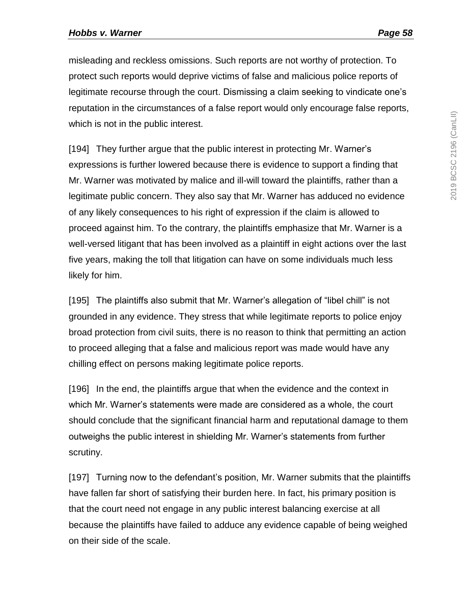misleading and reckless omissions. Such reports are not worthy of protection. To protect such reports would deprive victims of false and malicious police reports of legitimate recourse through the court. Dismissing a claim seeking to vindicate one's reputation in the circumstances of a false report would only encourage false reports, which is not in the public interest.

[194] They further argue that the public interest in protecting Mr. Warner's expressions is further lowered because there is evidence to support a finding that Mr. Warner was motivated by malice and ill-will toward the plaintiffs, rather than a legitimate public concern. They also say that Mr. Warner has adduced no evidence of any likely consequences to his right of expression if the claim is allowed to proceed against him. To the contrary, the plaintiffs emphasize that Mr. Warner is a well-versed litigant that has been involved as a plaintiff in eight actions over the last five years, making the toll that litigation can have on some individuals much less likely for him.

[195] The plaintiffs also submit that Mr. Warner's allegation of "libel chill" is not grounded in any evidence. They stress that while legitimate reports to police enjoy broad protection from civil suits, there is no reason to think that permitting an action to proceed alleging that a false and malicious report was made would have any chilling effect on persons making legitimate police reports.

[196] In the end, the plaintiffs argue that when the evidence and the context in which Mr. Warner's statements were made are considered as a whole, the court should conclude that the significant financial harm and reputational damage to them outweighs the public interest in shielding Mr. Warner's statements from further scrutiny.

[197] Turning now to the defendant's position, Mr. Warner submits that the plaintiffs have fallen far short of satisfying their burden here. In fact, his primary position is that the court need not engage in any public interest balancing exercise at all because the plaintiffs have failed to adduce any evidence capable of being weighed on their side of the scale.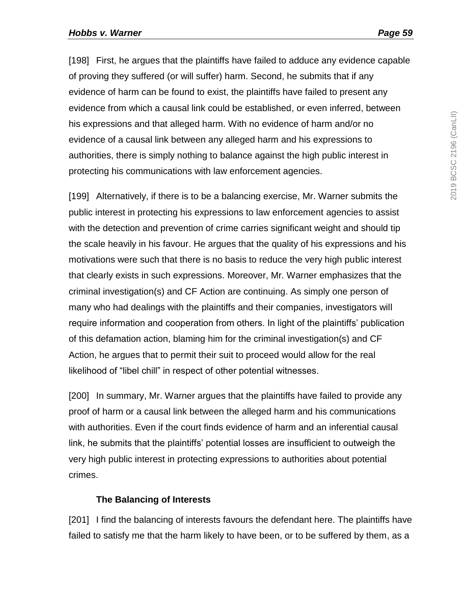[198] First, he argues that the plaintiffs have failed to adduce any evidence capable of proving they suffered (or will suffer) harm. Second, he submits that if any evidence of harm can be found to exist, the plaintiffs have failed to present any evidence from which a causal link could be established, or even inferred, between his expressions and that alleged harm. With no evidence of harm and/or no evidence of a causal link between any alleged harm and his expressions to authorities, there is simply nothing to balance against the high public interest in protecting his communications with law enforcement agencies.

[199] Alternatively, if there is to be a balancing exercise, Mr. Warner submits the public interest in protecting his expressions to law enforcement agencies to assist with the detection and prevention of crime carries significant weight and should tip the scale heavily in his favour. He argues that the quality of his expressions and his motivations were such that there is no basis to reduce the very high public interest that clearly exists in such expressions. Moreover, Mr. Warner emphasizes that the criminal investigation(s) and CF Action are continuing. As simply one person of many who had dealings with the plaintiffs and their companies, investigators will require information and cooperation from others. In light of the plaintiffs' publication of this defamation action, blaming him for the criminal investigation(s) and CF Action, he argues that to permit their suit to proceed would allow for the real likelihood of "libel chill" in respect of other potential witnesses.

[200] In summary, Mr. Warner argues that the plaintiffs have failed to provide any proof of harm or a causal link between the alleged harm and his communications with authorities. Even if the court finds evidence of harm and an inferential causal link, he submits that the plaintiffs' potential losses are insufficient to outweigh the very high public interest in protecting expressions to authorities about potential crimes.

### **The Balancing of Interests**

[201] I find the balancing of interests favours the defendant here. The plaintiffs have failed to satisfy me that the harm likely to have been, or to be suffered by them, as a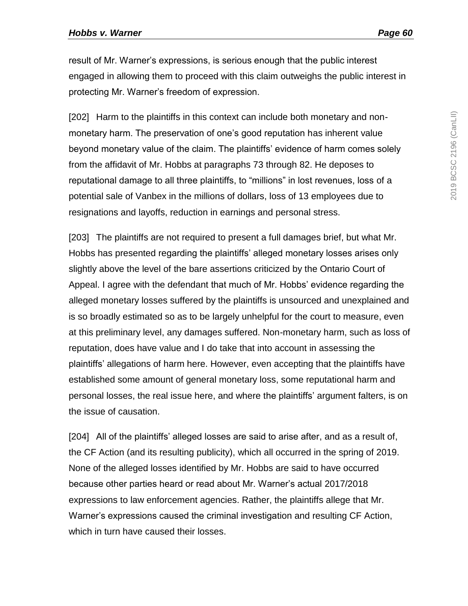result of Mr. Warner's expressions, is serious enough that the public interest engaged in allowing them to proceed with this claim outweighs the public interest in protecting Mr. Warner's freedom of expression.

[202] Harm to the plaintiffs in this context can include both monetary and nonmonetary harm. The preservation of one's good reputation has inherent value beyond monetary value of the claim. The plaintiffs' evidence of harm comes solely from the affidavit of Mr. Hobbs at paragraphs 73 through 82. He deposes to reputational damage to all three plaintiffs, to "millions" in lost revenues, loss of a potential sale of Vanbex in the millions of dollars, loss of 13 employees due to resignations and layoffs, reduction in earnings and personal stress.

[203] The plaintiffs are not required to present a full damages brief, but what Mr. Hobbs has presented regarding the plaintiffs' alleged monetary losses arises only slightly above the level of the bare assertions criticized by the Ontario Court of Appeal. I agree with the defendant that much of Mr. Hobbs' evidence regarding the alleged monetary losses suffered by the plaintiffs is unsourced and unexplained and is so broadly estimated so as to be largely unhelpful for the court to measure, even at this preliminary level, any damages suffered. Non-monetary harm, such as loss of reputation, does have value and I do take that into account in assessing the plaintiffs' allegations of harm here. However, even accepting that the plaintiffs have established some amount of general monetary loss, some reputational harm and personal losses, the real issue here, and where the plaintiffs' argument falters, is on the issue of causation.

[204] All of the plaintiffs' alleged losses are said to arise after, and as a result of, the CF Action (and its resulting publicity), which all occurred in the spring of 2019. None of the alleged losses identified by Mr. Hobbs are said to have occurred because other parties heard or read about Mr. Warner's actual 2017/2018 expressions to law enforcement agencies. Rather, the plaintiffs allege that Mr. Warner's expressions caused the criminal investigation and resulting CF Action, which in turn have caused their losses.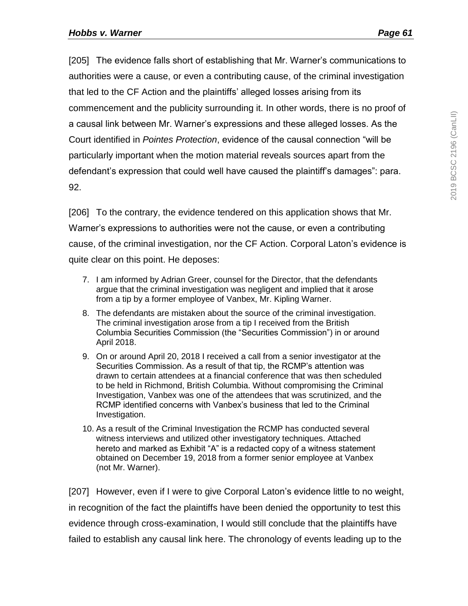[205] The evidence falls short of establishing that Mr. Warner's communications to authorities were a cause, or even a contributing cause, of the criminal investigation that led to the CF Action and the plaintiffs' alleged losses arising from its commencement and the publicity surrounding it. In other words, there is no proof of a causal link between Mr. Warner's expressions and these alleged losses. As the Court identified in *Pointes Protection*, evidence of the causal connection "will be particularly important when the motion material reveals sources apart from the defendant's expression that could well have caused the plaintiff's damages": para. 92.

[206] To the contrary, the evidence tendered on this application shows that Mr. Warner's expressions to authorities were not the cause, or even a contributing cause, of the criminal investigation, nor the CF Action. Corporal Laton's evidence is quite clear on this point. He deposes:

- 7. I am informed by Adrian Greer, counsel for the Director, that the defendants argue that the criminal investigation was negligent and implied that it arose from a tip by a former employee of Vanbex, Mr. Kipling Warner.
- 8. The defendants are mistaken about the source of the criminal investigation. The criminal investigation arose from a tip I received from the British Columbia Securities Commission (the "Securities Commission") in or around April 2018.
- 9. On or around April 20, 2018 I received a call from a senior investigator at the Securities Commission. As a result of that tip, the RCMP's attention was drawn to certain attendees at a financial conference that was then scheduled to be held in Richmond, British Columbia. Without compromising the Criminal Investigation, Vanbex was one of the attendees that was scrutinized, and the RCMP identified concerns with Vanbex's business that led to the Criminal Investigation.
- 10. As a result of the Criminal Investigation the RCMP has conducted several witness interviews and utilized other investigatory techniques. Attached hereto and marked as Exhibit "A" is a redacted copy of a witness statement obtained on December 19, 2018 from a former senior employee at Vanbex (not Mr. Warner).

[207] However, even if I were to give Corporal Laton's evidence little to no weight, in recognition of the fact the plaintiffs have been denied the opportunity to test this evidence through cross-examination, I would still conclude that the plaintiffs have failed to establish any causal link here. The chronology of events leading up to the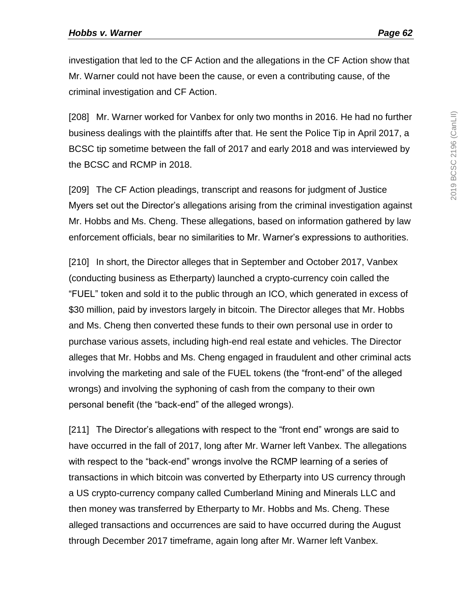investigation that led to the CF Action and the allegations in the CF Action show that Mr. Warner could not have been the cause, or even a contributing cause, of the criminal investigation and CF Action.

[208] Mr. Warner worked for Vanbex for only two months in 2016. He had no further business dealings with the plaintiffs after that. He sent the Police Tip in April 2017, a BCSC tip sometime between the fall of 2017 and early 2018 and was interviewed by the BCSC and RCMP in 2018.

[209] The CF Action pleadings, transcript and reasons for judgment of Justice Myers set out the Director's allegations arising from the criminal investigation against Mr. Hobbs and Ms. Cheng. These allegations, based on information gathered by law enforcement officials, bear no similarities to Mr. Warner's expressions to authorities.

[210] In short, the Director alleges that in September and October 2017, Vanbex (conducting business as Etherparty) launched a crypto-currency coin called the "FUEL" token and sold it to the public through an ICO, which generated in excess of \$30 million, paid by investors largely in bitcoin. The Director alleges that Mr. Hobbs and Ms. Cheng then converted these funds to their own personal use in order to purchase various assets, including high-end real estate and vehicles. The Director alleges that Mr. Hobbs and Ms. Cheng engaged in fraudulent and other criminal acts involving the marketing and sale of the FUEL tokens (the "front-end" of the alleged wrongs) and involving the syphoning of cash from the company to their own personal benefit (the "back-end" of the alleged wrongs).

[211] The Director's allegations with respect to the "front end" wrongs are said to have occurred in the fall of 2017, long after Mr. Warner left Vanbex. The allegations with respect to the "back-end" wrongs involve the RCMP learning of a series of transactions in which bitcoin was converted by Etherparty into US currency through a US crypto-currency company called Cumberland Mining and Minerals LLC and then money was transferred by Etherparty to Mr. Hobbs and Ms. Cheng. These alleged transactions and occurrences are said to have occurred during the August through December 2017 timeframe, again long after Mr. Warner left Vanbex.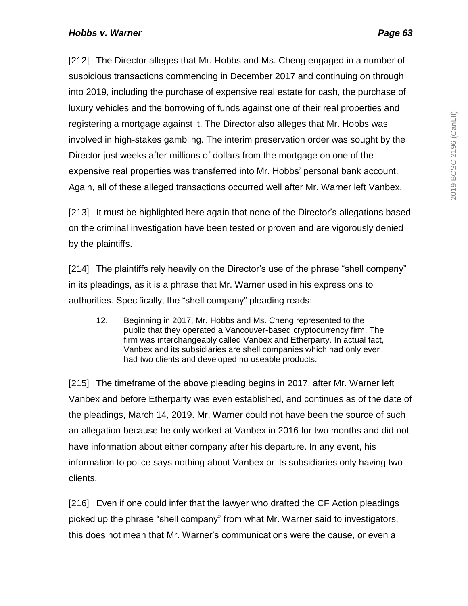[212] The Director alleges that Mr. Hobbs and Ms. Cheng engaged in a number of suspicious transactions commencing in December 2017 and continuing on through into 2019, including the purchase of expensive real estate for cash, the purchase of luxury vehicles and the borrowing of funds against one of their real properties and registering a mortgage against it. The Director also alleges that Mr. Hobbs was involved in high-stakes gambling. The interim preservation order was sought by the Director just weeks after millions of dollars from the mortgage on one of the expensive real properties was transferred into Mr. Hobbs' personal bank account. Again, all of these alleged transactions occurred well after Mr. Warner left Vanbex.

[213] It must be highlighted here again that none of the Director's allegations based on the criminal investigation have been tested or proven and are vigorously denied by the plaintiffs.

[214] The plaintiffs rely heavily on the Director's use of the phrase "shell company" in its pleadings, as it is a phrase that Mr. Warner used in his expressions to authorities. Specifically, the "shell company" pleading reads:

12. Beginning in 2017, Mr. Hobbs and Ms. Cheng represented to the public that they operated a Vancouver-based cryptocurrency firm. The firm was interchangeably called Vanbex and Etherparty. In actual fact, Vanbex and its subsidiaries are shell companies which had only ever had two clients and developed no useable products.

[215] The timeframe of the above pleading begins in 2017, after Mr. Warner left Vanbex and before Etherparty was even established, and continues as of the date of the pleadings, March 14, 2019. Mr. Warner could not have been the source of such an allegation because he only worked at Vanbex in 2016 for two months and did not have information about either company after his departure. In any event, his information to police says nothing about Vanbex or its subsidiaries only having two clients.

[216] Even if one could infer that the lawyer who drafted the CF Action pleadings picked up the phrase "shell company" from what Mr. Warner said to investigators, this does not mean that Mr. Warner's communications were the cause, or even a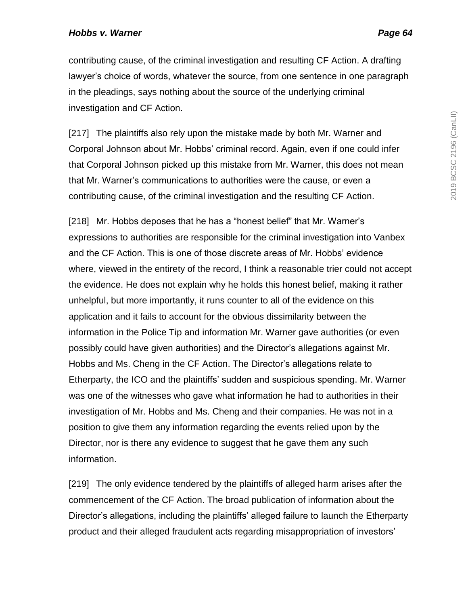contributing cause, of the criminal investigation and resulting CF Action. A drafting lawyer's choice of words, whatever the source, from one sentence in one paragraph in the pleadings, says nothing about the source of the underlying criminal investigation and CF Action.

[217] The plaintiffs also rely upon the mistake made by both Mr. Warner and Corporal Johnson about Mr. Hobbs' criminal record. Again, even if one could infer that Corporal Johnson picked up this mistake from Mr. Warner, this does not mean that Mr. Warner's communications to authorities were the cause, or even a contributing cause, of the criminal investigation and the resulting CF Action.

[218] Mr. Hobbs deposes that he has a "honest belief" that Mr. Warner's expressions to authorities are responsible for the criminal investigation into Vanbex and the CF Action. This is one of those discrete areas of Mr. Hobbs' evidence where, viewed in the entirety of the record, I think a reasonable trier could not accept the evidence. He does not explain why he holds this honest belief, making it rather unhelpful, but more importantly, it runs counter to all of the evidence on this application and it fails to account for the obvious dissimilarity between the information in the Police Tip and information Mr. Warner gave authorities (or even possibly could have given authorities) and the Director's allegations against Mr. Hobbs and Ms. Cheng in the CF Action. The Director's allegations relate to Etherparty, the ICO and the plaintiffs' sudden and suspicious spending. Mr. Warner was one of the witnesses who gave what information he had to authorities in their investigation of Mr. Hobbs and Ms. Cheng and their companies. He was not in a position to give them any information regarding the events relied upon by the Director, nor is there any evidence to suggest that he gave them any such information.

[219] The only evidence tendered by the plaintiffs of alleged harm arises after the commencement of the CF Action. The broad publication of information about the Director's allegations, including the plaintiffs' alleged failure to launch the Etherparty product and their alleged fraudulent acts regarding misappropriation of investors'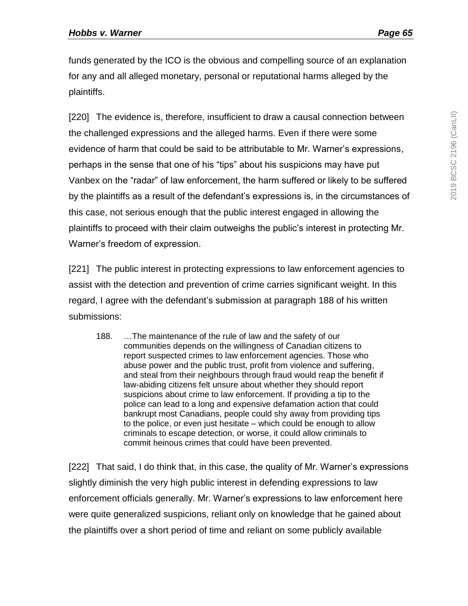funds generated by the ICO is the obvious and compelling source of an explanation for any and all alleged monetary, personal or reputational harms alleged by the plaintiffs.

[220] The evidence is, therefore, insufficient to draw a causal connection between the challenged expressions and the alleged harms. Even if there were some evidence of harm that could be said to be attributable to Mr. Warner's expressions, perhaps in the sense that one of his "tips" about his suspicions may have put Vanbex on the "radar" of law enforcement, the harm suffered or likely to be suffered by the plaintiffs as a result of the defendant's expressions is, in the circumstances of this case, not serious enough that the public interest engaged in allowing the plaintiffs to proceed with their claim outweighs the public's interest in protecting Mr. Warner's freedom of expression.

[221] The public interest in protecting expressions to law enforcement agencies to assist with the detection and prevention of crime carries significant weight. In this regard, I agree with the defendant's submission at paragraph 188 of his written submissions:

188. …The maintenance of the rule of law and the safety of our communities depends on the willingness of Canadian citizens to report suspected crimes to law enforcement agencies. Those who abuse power and the public trust, profit from violence and suffering, and steal from their neighbours through fraud would reap the benefit if law-abiding citizens felt unsure about whether they should report suspicions about crime to law enforcement. If providing a tip to the police can lead to a long and expensive defamation action that could bankrupt most Canadians, people could shy away from providing tips to the police, or even just hesitate – which could be enough to allow criminals to escape detection, or worse, it could allow criminals to commit heinous crimes that could have been prevented.

[222] That said, I do think that, in this case, the quality of Mr. Warner's expressions slightly diminish the very high public interest in defending expressions to law enforcement officials generally. Mr. Warner's expressions to law enforcement here were quite generalized suspicions, reliant only on knowledge that he gained about the plaintiffs over a short period of time and reliant on some publicly available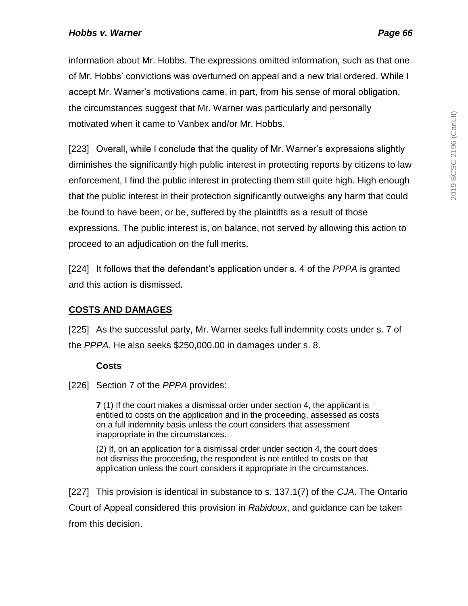information about Mr. Hobbs. The expressions omitted information, such as that one of Mr. Hobbs' convictions was overturned on appeal and a new trial ordered. While I accept Mr. Warner's motivations came, in part, from his sense of moral obligation, the circumstances suggest that Mr. Warner was particularly and personally motivated when it came to Vanbex and/or Mr. Hobbs.

[223] Overall, while I conclude that the quality of Mr. Warner's expressions slightly diminishes the significantly high public interest in protecting reports by citizens to law enforcement, I find the public interest in protecting them still quite high. High enough that the public interest in their protection significantly outweighs any harm that could be found to have been, or be, suffered by the plaintiffs as a result of those expressions. The public interest is, on balance, not served by allowing this action to proceed to an adjudication on the full merits.

[224] It follows that the defendant's application under s. 4 of the *PPPA* is granted and this action is dismissed.

# **COSTS AND DAMAGES**

[225] As the successful party, Mr. Warner seeks full indemnity costs under s. 7 of the *PPPA*. He also seeks \$250,000.00 in damages under s. 8.

### **Costs**

[226] Section 7 of the *PPPA* provides:

**7** (1) If the court makes a dismissal order under section 4, the applicant is entitled to costs on the application and in the proceeding, assessed as costs on a full indemnity basis unless the court considers that assessment inappropriate in the circumstances.

(2) If, on an application for a dismissal order under section 4, the court does not dismiss the proceeding, the respondent is not entitled to costs on that application unless the court considers it appropriate in the circumstances.

[227] This provision is identical in substance to s. 137.1(7) of the *CJA*. The Ontario Court of Appeal considered this provision in *Rabidoux*, and guidance can be taken from this decision.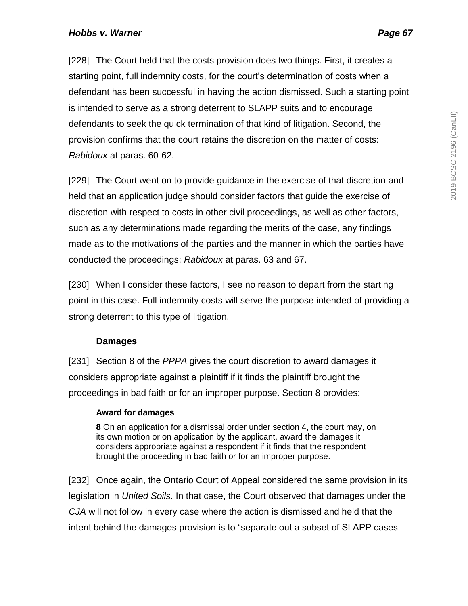[228] The Court held that the costs provision does two things. First, it creates a starting point, full indemnity costs, for the court's determination of costs when a defendant has been successful in having the action dismissed. Such a starting point is intended to serve as a strong deterrent to SLAPP suits and to encourage defendants to seek the quick termination of that kind of litigation. Second, the provision confirms that the court retains the discretion on the matter of costs: *Rabidoux* at paras. 60-62.

[229] The Court went on to provide guidance in the exercise of that discretion and held that an application judge should consider factors that guide the exercise of discretion with respect to costs in other civil proceedings, as well as other factors, such as any determinations made regarding the merits of the case, any findings made as to the motivations of the parties and the manner in which the parties have conducted the proceedings: *Rabidoux* at paras. 63 and 67.

[230] When I consider these factors, I see no reason to depart from the starting point in this case. Full indemnity costs will serve the purpose intended of providing a strong deterrent to this type of litigation.

### **Damages**

[231] Section 8 of the *PPPA* gives the court discretion to award damages it considers appropriate against a plaintiff if it finds the plaintiff brought the proceedings in bad faith or for an improper purpose. Section 8 provides:

#### **Award for damages**

**8** On an application for a dismissal order under section 4, the court may, on its own motion or on application by the applicant, award the damages it considers appropriate against a respondent if it finds that the respondent brought the proceeding in bad faith or for an improper purpose.

[232] Once again, the Ontario Court of Appeal considered the same provision in its legislation in *United Soils*. In that case, the Court observed that damages under the *CJA* will not follow in every case where the action is dismissed and held that the intent behind the damages provision is to "separate out a subset of SLAPP cases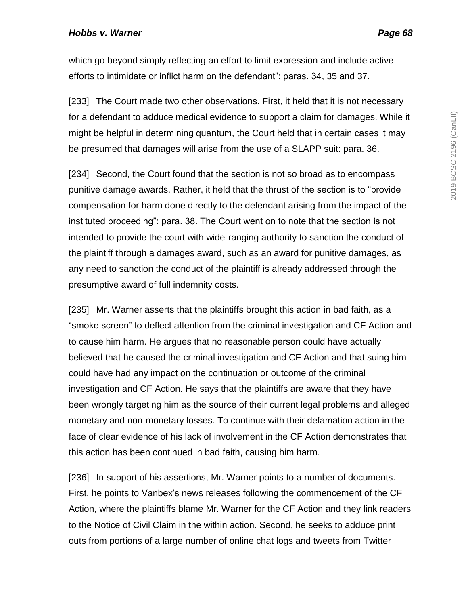which go beyond simply reflecting an effort to limit expression and include active efforts to intimidate or inflict harm on the defendant": paras. 34, 35 and 37.

[233] The Court made two other observations. First, it held that it is not necessary for a defendant to adduce medical evidence to support a claim for damages. While it might be helpful in determining quantum, the Court held that in certain cases it may be presumed that damages will arise from the use of a SLAPP suit: para. 36.

[234] Second, the Court found that the section is not so broad as to encompass punitive damage awards. Rather, it held that the thrust of the section is to "provide compensation for harm done directly to the defendant arising from the impact of the instituted proceeding": para. 38. The Court went on to note that the section is not intended to provide the court with wide-ranging authority to sanction the conduct of the plaintiff through a damages award, such as an award for punitive damages, as any need to sanction the conduct of the plaintiff is already addressed through the presumptive award of full indemnity costs.

[235] Mr. Warner asserts that the plaintiffs brought this action in bad faith, as a "smoke screen" to deflect attention from the criminal investigation and CF Action and to cause him harm. He argues that no reasonable person could have actually believed that he caused the criminal investigation and CF Action and that suing him could have had any impact on the continuation or outcome of the criminal investigation and CF Action. He says that the plaintiffs are aware that they have been wrongly targeting him as the source of their current legal problems and alleged monetary and non-monetary losses. To continue with their defamation action in the face of clear evidence of his lack of involvement in the CF Action demonstrates that this action has been continued in bad faith, causing him harm.

[236] In support of his assertions, Mr. Warner points to a number of documents. First, he points to Vanbex's news releases following the commencement of the CF Action, where the plaintiffs blame Mr. Warner for the CF Action and they link readers to the Notice of Civil Claim in the within action. Second, he seeks to adduce print outs from portions of a large number of online chat logs and tweets from Twitter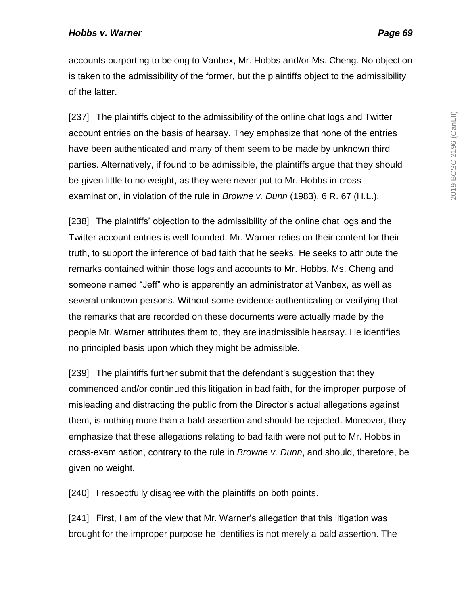accounts purporting to belong to Vanbex, Mr. Hobbs and/or Ms. Cheng. No objection is taken to the admissibility of the former, but the plaintiffs object to the admissibility of the latter.

[237] The plaintiffs object to the admissibility of the online chat logs and Twitter account entries on the basis of hearsay. They emphasize that none of the entries have been authenticated and many of them seem to be made by unknown third parties. Alternatively, if found to be admissible, the plaintiffs argue that they should be given little to no weight, as they were never put to Mr. Hobbs in crossexamination, in violation of the rule in *Browne v. Dunn* (1983), 6 R. 67 (H.L.).

[238] The plaintiffs' objection to the admissibility of the online chat logs and the Twitter account entries is well-founded. Mr. Warner relies on their content for their truth, to support the inference of bad faith that he seeks. He seeks to attribute the remarks contained within those logs and accounts to Mr. Hobbs, Ms. Cheng and someone named "Jeff" who is apparently an administrator at Vanbex, as well as several unknown persons. Without some evidence authenticating or verifying that the remarks that are recorded on these documents were actually made by the people Mr. Warner attributes them to, they are inadmissible hearsay. He identifies no principled basis upon which they might be admissible.

[239] The plaintiffs further submit that the defendant's suggestion that they commenced and/or continued this litigation in bad faith, for the improper purpose of misleading and distracting the public from the Director's actual allegations against them, is nothing more than a bald assertion and should be rejected. Moreover, they emphasize that these allegations relating to bad faith were not put to Mr. Hobbs in cross-examination, contrary to the rule in *Browne v. Dunn*, and should, therefore, be given no weight.

[240] I respectfully disagree with the plaintiffs on both points.

[241] First, I am of the view that Mr. Warner's allegation that this litigation was brought for the improper purpose he identifies is not merely a bald assertion. The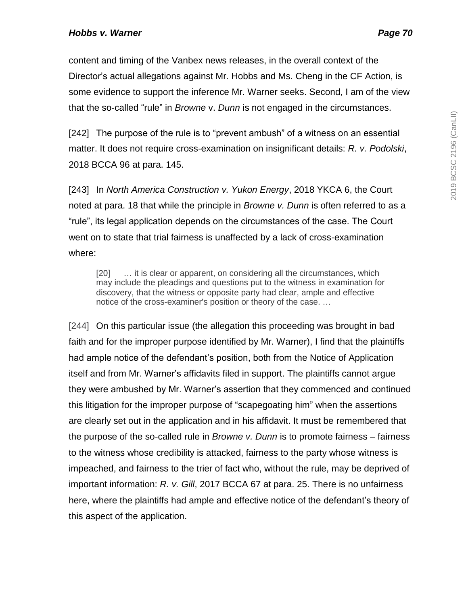content and timing of the Vanbex news releases, in the overall context of the Director's actual allegations against Mr. Hobbs and Ms. Cheng in the CF Action, is some evidence to support the inference Mr. Warner seeks. Second, I am of the view that the so-called "rule" in *Browne* v. *Dunn* is not engaged in the circumstances.

[242] The purpose of the rule is to "prevent ambush" of a witness on an essential matter. It does not require cross-examination on insignificant details: *R. v. Podolski*, 2018 BCCA 96 at para. 145.

[243] In *North America Construction v. Yukon Energy*, 2018 YKCA 6, the Court noted at para. 18 that while the principle in *Browne v. Dunn* is often referred to as a "rule", its legal application depends on the circumstances of the case. The Court went on to state that trial fairness is unaffected by a lack of cross-examination where:

[20] ... it is clear or apparent, on considering all the circumstances, which may include the pleadings and questions put to the witness in examination for discovery, that the witness or opposite party had clear, ample and effective notice of the cross-examiner's position or theory of the case. …

[244] On this particular issue (the allegation this proceeding was brought in bad faith and for the improper purpose identified by Mr. Warner), I find that the plaintiffs had ample notice of the defendant's position, both from the Notice of Application itself and from Mr. Warner's affidavits filed in support. The plaintiffs cannot argue they were ambushed by Mr. Warner's assertion that they commenced and continued this litigation for the improper purpose of "scapegoating him" when the assertions are clearly set out in the application and in his affidavit. It must be remembered that the purpose of the so-called rule in *Browne v. Dunn* is to promote fairness – fairness to the witness whose credibility is attacked, fairness to the party whose witness is impeached, and fairness to the trier of fact who, without the rule, may be deprived of important information: *R. v. Gill*, 2017 BCCA 67 at para. 25. There is no unfairness here, where the plaintiffs had ample and effective notice of the defendant's theory of this aspect of the application.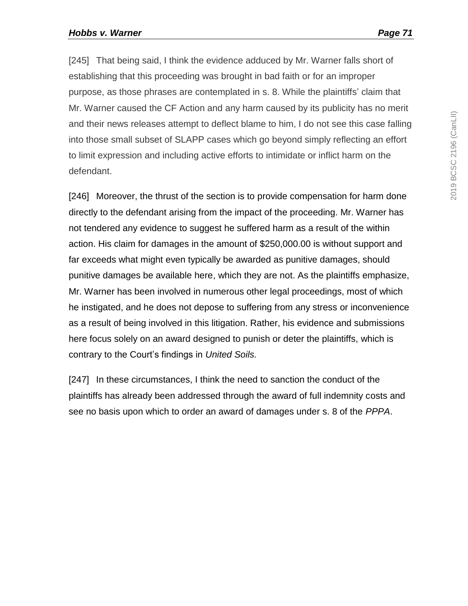[245] That being said, I think the evidence adduced by Mr. Warner falls short of establishing that this proceeding was brought in bad faith or for an improper purpose, as those phrases are contemplated in s. 8. While the plaintiffs' claim that Mr. Warner caused the CF Action and any harm caused by its publicity has no merit and their news releases attempt to deflect blame to him, I do not see this case falling into those small subset of SLAPP cases which go beyond simply reflecting an effort to limit expression and including active efforts to intimidate or inflict harm on the defendant.

[246] Moreover, the thrust of the section is to provide compensation for harm done directly to the defendant arising from the impact of the proceeding. Mr. Warner has not tendered any evidence to suggest he suffered harm as a result of the within action. His claim for damages in the amount of \$250,000.00 is without support and far exceeds what might even typically be awarded as punitive damages, should punitive damages be available here, which they are not. As the plaintiffs emphasize, Mr. Warner has been involved in numerous other legal proceedings, most of which he instigated, and he does not depose to suffering from any stress or inconvenience as a result of being involved in this litigation. Rather, his evidence and submissions here focus solely on an award designed to punish or deter the plaintiffs, which is contrary to the Court's findings in *United Soils.*

[247] In these circumstances, I think the need to sanction the conduct of the plaintiffs has already been addressed through the award of full indemnity costs and see no basis upon which to order an award of damages under s. 8 of the *PPPA*.